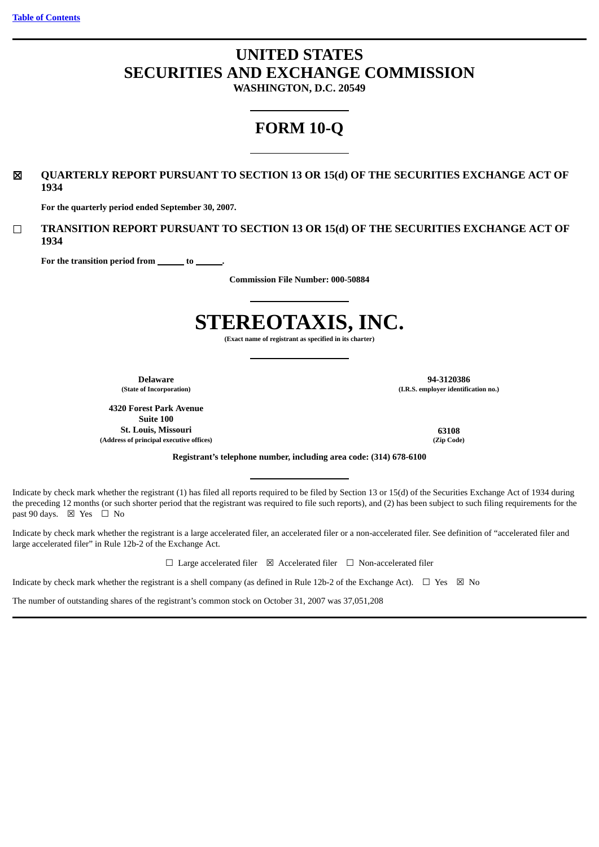# **UNITED STATES SECURITIES AND EXCHANGE COMMISSION**

**WASHINGTON, D.C. 20549**

# **FORM 10-Q**

# ☒ **QUARTERLY REPORT PURSUANT TO SECTION 13 OR 15(d) OF THE SECURITIES EXCHANGE ACT OF 1934**

**For the quarterly period ended September 30, 2007.**

☐ **TRANSITION REPORT PURSUANT TO SECTION 13 OR 15(d) OF THE SECURITIES EXCHANGE ACT OF 1934**

For the transition period from <u>section</u> to

**Commission File Number: 000-50884**

# **STEREOTAXIS, INC.**

**(Exact name of registrant as specified in its charter)**

**4320 Forest Park Avenue Suite 100 St. Louis, Missouri 63108 (Address of principal executive offices) (Zip Code)**

**Delaware 94-3120386 (State of Incorporation) (I.R.S. employer identification no.)**

**Registrant's telephone number, including area code: (314) 678-6100**

Indicate by check mark whether the registrant (1) has filed all reports required to be filed by Section 13 or 15(d) of the Securities Exchange Act of 1934 during the preceding 12 months (or such shorter period that the registrant was required to file such reports), and (2) has been subject to such filing requirements for the past 90 days.  $\boxtimes$  Yes  $\Box$  No

Indicate by check mark whether the registrant is a large accelerated filer, an accelerated filer or a non-accelerated filer. See definition of "accelerated filer and large accelerated filer" in Rule 12b-2 of the Exchange Act.

☐ Large accelerated filer ☒ Accelerated filer ☐ Non-accelerated filer

Indicate by check mark whether the registrant is a shell company (as defined in Rule 12b-2 of the Exchange Act).  $\Box$  Yes  $\boxtimes$  No

The number of outstanding shares of the registrant's common stock on October 31, 2007 was 37,051,208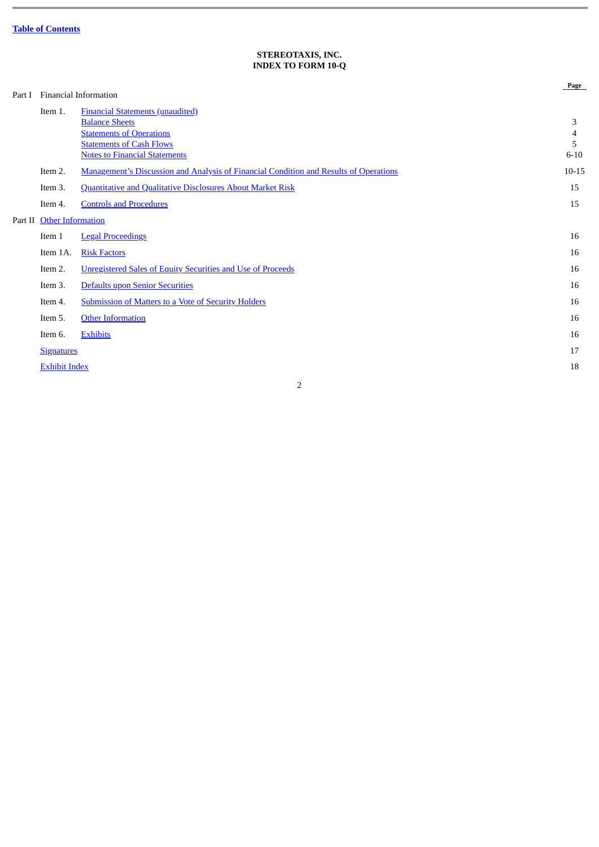# **STEREOTAXIS, INC. INDEX TO FORM 10-Q**

<span id="page-1-0"></span>

|        |                           |                                                                                              | Page      |
|--------|---------------------------|----------------------------------------------------------------------------------------------|-----------|
| Part I |                           | Financial Information                                                                        |           |
|        | Item 1.                   | <b>Financial Statements (unaudited)</b>                                                      |           |
|        |                           | <b>Balance Sheets</b>                                                                        | 3         |
|        |                           | <b>Statements of Operations</b>                                                              | 4         |
|        |                           | <b>Statements of Cash Flows</b>                                                              | 5         |
|        |                           | <b>Notes to Financial Statements</b>                                                         | $6 - 10$  |
|        | Item 2.                   | <b>Management's Discussion and Analysis of Financial Condition and Results of Operations</b> | $10 - 15$ |
|        | Item 3.                   | <b>Quantitative and Qualitative Disclosures About Market Risk</b>                            | 15        |
|        | Item 4.                   | <b>Controls and Procedures</b>                                                               | 15        |
|        | Part II Other Information |                                                                                              |           |
|        | Item 1                    | <b>Legal Proceedings</b>                                                                     | 16        |
|        | Item 1A.                  | <b>Risk Factors</b>                                                                          | 16        |
|        | Item 2.                   | <b>Unregistered Sales of Equity Securities and Use of Proceeds</b>                           | 16        |
|        | Item 3.                   | Defaults upon Senior Securities                                                              | 16        |
|        | Item 4.                   | <b>Submission of Matters to a Vote of Security Holders</b>                                   | 16        |
|        | Item 5.                   | <b>Other Information</b>                                                                     | 16        |
|        | Item 6.                   | <b>Exhibits</b>                                                                              | 16        |
|        | <b>Signatures</b>         |                                                                                              | 17        |
|        | <b>Exhibit Index</b>      |                                                                                              | 18        |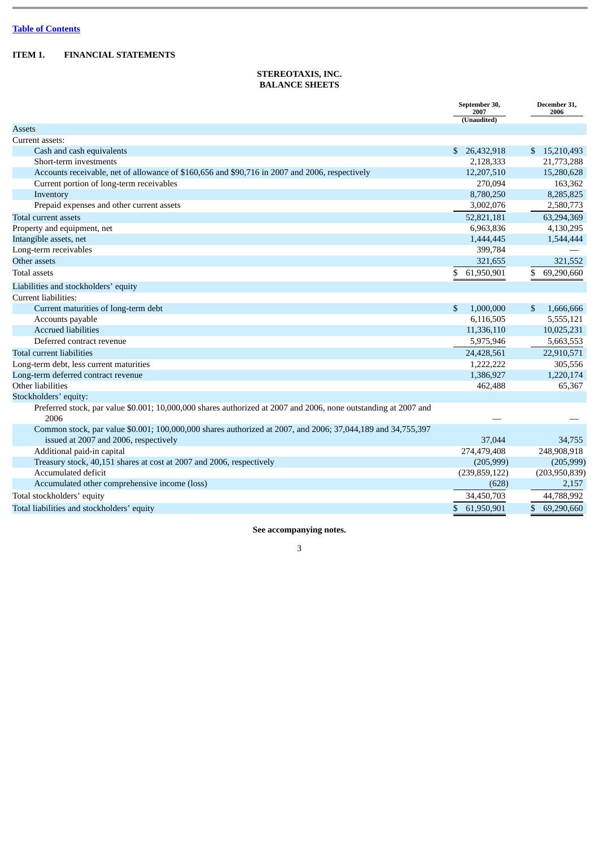# <span id="page-2-1"></span><span id="page-2-0"></span>**ITEM 1. FINANCIAL STATEMENTS**

# **STEREOTAXIS, INC. BALANCE SHEETS**

|                                                                                                                                                      | September 30,<br>2007<br>(Unaudited) | December 31,<br>2006 |
|------------------------------------------------------------------------------------------------------------------------------------------------------|--------------------------------------|----------------------|
| Assets                                                                                                                                               |                                      |                      |
| Current assets:                                                                                                                                      |                                      |                      |
| Cash and cash equivalents                                                                                                                            | \$<br>26,432,918                     | 15,210,493<br>S.     |
| Short-term investments                                                                                                                               | 2,128,333                            | 21,773,288           |
| Accounts receivable, net of allowance of \$160,656 and \$90,716 in 2007 and 2006, respectively                                                       | 12,207,510                           | 15,280,628           |
| Current portion of long-term receivables                                                                                                             | 270,094                              | 163,362              |
| Inventory                                                                                                                                            | 8,780,250                            | 8,285,825            |
| Prepaid expenses and other current assets                                                                                                            | 3,002,076                            | 2,580,773            |
| Total current assets                                                                                                                                 | 52,821,181                           | 63,294,369           |
| Property and equipment, net                                                                                                                          | 6,963,836                            | 4,130,295            |
| Intangible assets, net                                                                                                                               | 1,444,445                            | 1,544,444            |
| Long-term receivables                                                                                                                                | 399,784                              |                      |
| Other assets                                                                                                                                         | 321,655                              | 321,552              |
| <b>Total assets</b>                                                                                                                                  | \$<br>61,950,901                     | 69,290,660<br>\$     |
| Liabilities and stockholders' equity                                                                                                                 |                                      |                      |
| Current liabilities:                                                                                                                                 |                                      |                      |
| Current maturities of long-term debt                                                                                                                 | \$<br>1,000,000                      | \$<br>1,666,666      |
| Accounts payable                                                                                                                                     | 6,116,505                            | 5,555,121            |
| <b>Accrued liabilities</b>                                                                                                                           | 11,336,110                           | 10,025,231           |
| Deferred contract revenue                                                                                                                            | 5,975,946                            | 5,663,553            |
| Total current liabilities                                                                                                                            | 24,428,561                           | 22,910,571           |
| Long-term debt, less current maturities                                                                                                              | 1,222,222                            | 305,556              |
| Long-term deferred contract revenue                                                                                                                  | 1,386,927                            | 1,220,174            |
| Other liabilities                                                                                                                                    | 462,488                              | 65,367               |
| Stockholders' equity:                                                                                                                                |                                      |                      |
| Preferred stock, par value \$0.001; 10,000,000 shares authorized at 2007 and 2006, none outstanding at 2007 and<br>2006                              |                                      |                      |
| Common stock, par value \$0.001; 100,000,000 shares authorized at 2007, and 2006; 37,044,189 and 34,755,397<br>issued at 2007 and 2006, respectively | 37,044                               | 34,755               |
| Additional paid-in capital                                                                                                                           | 274,479,408                          | 248,908,918          |
| Treasury stock, 40,151 shares at cost at 2007 and 2006, respectively                                                                                 | (205,999)                            | (205, 999)           |
| Accumulated deficit                                                                                                                                  | (239, 859, 122)                      | (203,950,839)        |
| Accumulated other comprehensive income (loss)                                                                                                        | (628)                                | 2,157                |
| Total stockholders' equity                                                                                                                           | 34,450,703                           | 44,788,992           |
| Total liabilities and stockholders' equity                                                                                                           | \$<br>61,950,901                     | \$<br>69,290,660     |

**See accompanying notes.**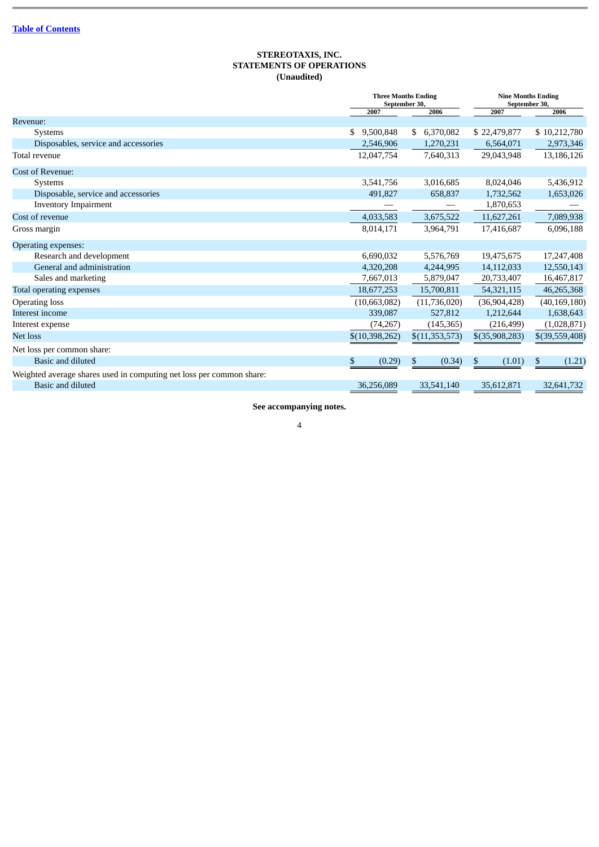# **STEREOTAXIS, INC. STATEMENTS OF OPERATIONS (Unaudited)**

<span id="page-3-0"></span>

|                                                                      |                  | <b>Three Months Ending</b><br>September 30, |                  | <b>Nine Months Ending</b><br>September 30, |  |
|----------------------------------------------------------------------|------------------|---------------------------------------------|------------------|--------------------------------------------|--|
|                                                                      | 2007             | 2006                                        | 2007             | 2006                                       |  |
| Revenue:                                                             |                  |                                             |                  |                                            |  |
| Systems                                                              | 9,500,848<br>S.  | \$ 6,370,082                                | \$22,479,877     | \$10,212,780                               |  |
| Disposables, service and accessories                                 | 2,546,906        | 1,270,231                                   | 6,564,071        | 2,973,346                                  |  |
| Total revenue                                                        | 12,047,754       | 7,640,313                                   | 29,043,948       | 13,186,126                                 |  |
| <b>Cost of Revenue:</b>                                              |                  |                                             |                  |                                            |  |
| Systems                                                              | 3,541,756        | 3,016,685                                   | 8,024,046        | 5,436,912                                  |  |
| Disposable, service and accessories                                  | 491,827          | 658,837                                     | 1,732,562        | 1,653,026                                  |  |
| <b>Inventory Impairment</b>                                          |                  |                                             | 1,870,653        |                                            |  |
| Cost of revenue                                                      | 4,033,583        | 3,675,522                                   | 11,627,261       | 7,089,938                                  |  |
| Gross margin                                                         | 8,014,171        | 3,964,791                                   | 17,416,687       | 6,096,188                                  |  |
| <b>Operating expenses:</b>                                           |                  |                                             |                  |                                            |  |
| Research and development                                             | 6,690,032        | 5,576,769                                   | 19,475,675       | 17,247,408                                 |  |
| General and administration                                           | 4,320,208        | 4,244,995                                   | 14,112,033       | 12,550,143                                 |  |
| Sales and marketing                                                  | 7,667,013        | 5,879,047                                   | 20,733,407       | 16,467,817                                 |  |
| Total operating expenses                                             | 18,677,253       | 15,700,811                                  | 54,321,115       | 46,265,368                                 |  |
| <b>Operating loss</b>                                                | (10,663,082)     | (11,736,020)                                | (36, 904, 428)   | (40, 169, 180)                             |  |
| Interest income                                                      | 339,087          | 527,812                                     | 1,212,644        | 1,638,643                                  |  |
| Interest expense                                                     | (74, 267)        | (145, 365)                                  | (216, 499)       | (1,028,871)                                |  |
| Net loss                                                             | \$(10, 398, 262) | \$(11,353,573)                              | $$$ (35,908,283) | \$(39,559,408)                             |  |
| Net loss per common share:                                           |                  |                                             |                  |                                            |  |
| Basic and diluted                                                    | \$<br>(0.29)     | \$<br>(0.34)                                | \$<br>(1.01)     | S.<br>(1.21)                               |  |
| Weighted average shares used in computing net loss per common share: |                  |                                             |                  |                                            |  |
| Basic and diluted                                                    | 36,256,089       | 33,541,140                                  | 35,612,871       | 32,641,732                                 |  |

**See accompanying notes.**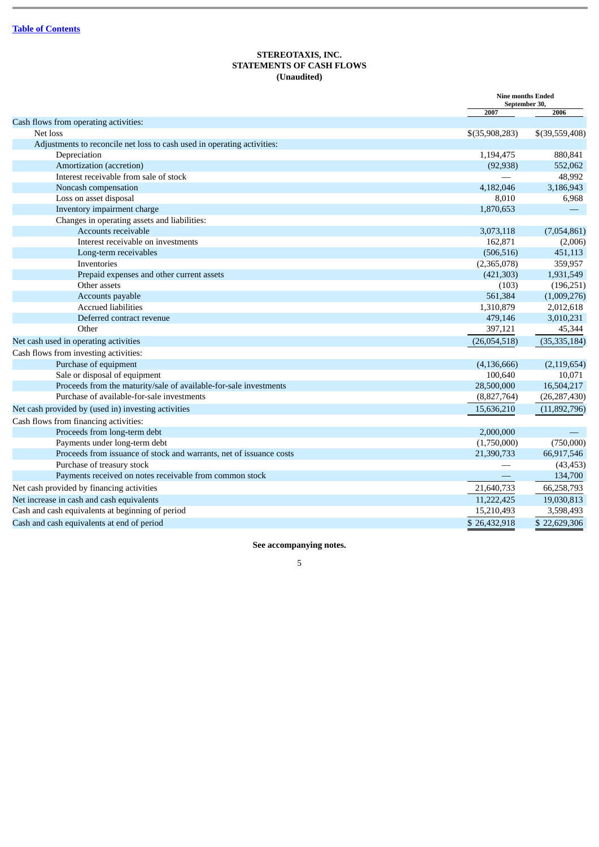# **STEREOTAXIS, INC. STATEMENTS OF CASH FLOWS (Unaudited)**

<span id="page-4-0"></span>

|                                                                         | <b>Nine months Ended</b><br>September 30, |                |
|-------------------------------------------------------------------------|-------------------------------------------|----------------|
|                                                                         | 2007                                      | 2006           |
| Cash flows from operating activities:                                   |                                           |                |
| Net loss                                                                | \$(35,908,283)                            | \$(39,559,408) |
| Adjustments to reconcile net loss to cash used in operating activities: |                                           |                |
| Depreciation                                                            | 1,194,475                                 | 880,841        |
| Amortization (accretion)                                                | (92, 938)                                 | 552,062        |
| Interest receivable from sale of stock                                  |                                           | 48,992         |
| Noncash compensation                                                    | 4,182,046                                 | 3,186,943      |
| Loss on asset disposal                                                  | 8,010                                     | 6,968          |
| Inventory impairment charge                                             | 1,870,653                                 |                |
| Changes in operating assets and liabilities:                            |                                           |                |
| Accounts receivable                                                     | 3,073,118                                 | (7,054,861)    |
| Interest receivable on investments                                      | 162,871                                   | (2,006)        |
| Long-term receivables                                                   | (506, 516)                                | 451,113        |
| Inventories                                                             | (2,365,078)                               | 359,957        |
| Prepaid expenses and other current assets                               | (421,303)                                 | 1,931,549      |
| Other assets                                                            | (103)                                     | (196, 251)     |
| Accounts payable                                                        | 561,384                                   | (1,009,276)    |
| <b>Accrued liabilities</b>                                              | 1,310,879                                 | 2,012,618      |
| Deferred contract revenue                                               | 479,146                                   | 3,010,231      |
| Other                                                                   | 397,121                                   | 45,344         |
| Net cash used in operating activities                                   | (26,054,518)                              | (35, 335, 184) |
| Cash flows from investing activities:                                   |                                           |                |
| Purchase of equipment                                                   | (4, 136, 666)                             | (2, 119, 654)  |
| Sale or disposal of equipment                                           | 100,640                                   | 10,071         |
| Proceeds from the maturity/sale of available-for-sale investments       | 28,500,000                                | 16,504,217     |
| Purchase of available-for-sale investments                              | (8,827,764)                               | (26, 287, 430) |
| Net cash provided by (used in) investing activities                     | 15,636,210                                | (11,892,796)   |
| Cash flows from financing activities:                                   |                                           |                |
| Proceeds from long-term debt                                            | 2,000,000                                 |                |
| Payments under long-term debt                                           | (1,750,000)                               | (750,000)      |
| Proceeds from issuance of stock and warrants, net of issuance costs     | 21,390,733                                | 66,917,546     |
| Purchase of treasury stock                                              |                                           | (43, 453)      |
| Payments received on notes receivable from common stock                 |                                           | 134,700        |
| Net cash provided by financing activities                               | 21,640,733                                | 66,258,793     |
| Net increase in cash and cash equivalents                               | 11,222,425                                | 19,030,813     |
| Cash and cash equivalents at beginning of period                        | 15,210,493                                | 3,598,493      |
| Cash and cash equivalents at end of period                              | \$26,432,918                              | \$22,629,306   |

**See accompanying notes.**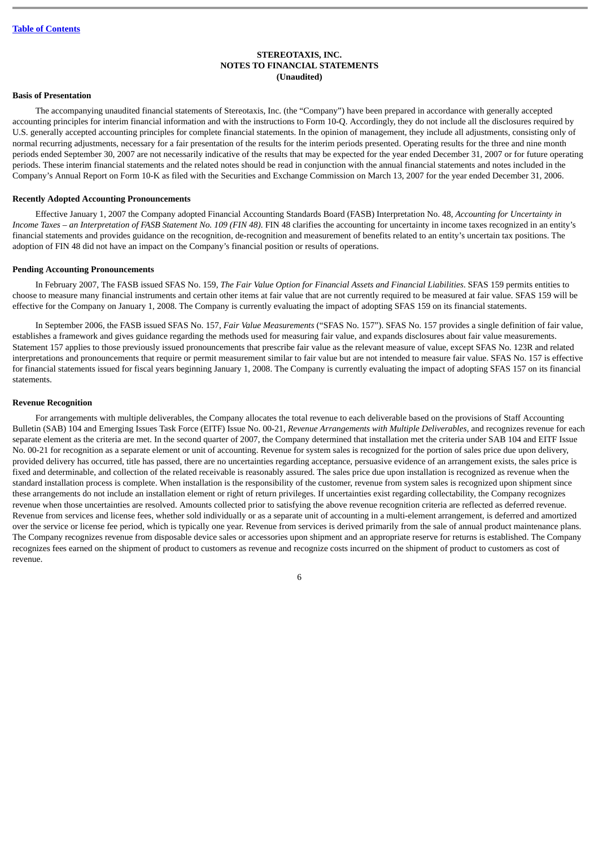# **STEREOTAXIS, INC. NOTES TO FINANCIAL STATEMENTS (Unaudited)**

#### <span id="page-5-0"></span>**Basis of Presentation**

The accompanying unaudited financial statements of Stereotaxis, Inc. (the "Company") have been prepared in accordance with generally accepted accounting principles for interim financial information and with the instructions to Form 10-Q. Accordingly, they do not include all the disclosures required by U.S. generally accepted accounting principles for complete financial statements. In the opinion of management, they include all adjustments, consisting only of normal recurring adjustments, necessary for a fair presentation of the results for the interim periods presented. Operating results for the three and nine month periods ended September 30, 2007 are not necessarily indicative of the results that may be expected for the year ended December 31, 2007 or for future operating periods. These interim financial statements and the related notes should be read in conjunction with the annual financial statements and notes included in the Company's Annual Report on Form 10-K as filed with the Securities and Exchange Commission on March 13, 2007 for the year ended December 31, 2006.

#### **Recently Adopted Accounting Pronouncements**

Effective January 1, 2007 the Company adopted Financial Accounting Standards Board (FASB) Interpretation No. 48, *Accounting for Uncertainty in Income Taxes – an Interpretation of FASB Statement No. 109 (FIN 48)*. FIN 48 clarifies the accounting for uncertainty in income taxes recognized in an entity's financial statements and provides guidance on the recognition, de-recognition and measurement of benefits related to an entity's uncertain tax positions. The adoption of FIN 48 did not have an impact on the Company's financial position or results of operations.

#### **Pending Accounting Pronouncements**

In February 2007, The FASB issued SFAS No. 159, *The Fair Value Option for Financial Assets and Financial Liabilities*. SFAS 159 permits entities to choose to measure many financial instruments and certain other items at fair value that are not currently required to be measured at fair value. SFAS 159 will be effective for the Company on January 1, 2008. The Company is currently evaluating the impact of adopting SFAS 159 on its financial statements.

In September 2006, the FASB issued SFAS No. 157, *Fair Value Measurements* ("SFAS No. 157"). SFAS No. 157 provides a single definition of fair value, establishes a framework and gives guidance regarding the methods used for measuring fair value, and expands disclosures about fair value measurements. Statement 157 applies to those previously issued pronouncements that prescribe fair value as the relevant measure of value, except SFAS No. 123R and related interpretations and pronouncements that require or permit measurement similar to fair value but are not intended to measure fair value. SFAS No. 157 is effective for financial statements issued for fiscal years beginning January 1, 2008. The Company is currently evaluating the impact of adopting SFAS 157 on its financial statements.

#### **Revenue Recognition**

For arrangements with multiple deliverables, the Company allocates the total revenue to each deliverable based on the provisions of Staff Accounting Bulletin (SAB) 104 and Emerging Issues Task Force (EITF) Issue No. 00-21, *Revenue Arrangements with Multiple Deliverables,* and recognizes revenue for each separate element as the criteria are met. In the second quarter of 2007, the Company determined that installation met the criteria under SAB 104 and EITF Issue No. 00-21 for recognition as a separate element or unit of accounting. Revenue for system sales is recognized for the portion of sales price due upon delivery, provided delivery has occurred, title has passed, there are no uncertainties regarding acceptance, persuasive evidence of an arrangement exists, the sales price is fixed and determinable, and collection of the related receivable is reasonably assured. The sales price due upon installation is recognized as revenue when the standard installation process is complete. When installation is the responsibility of the customer, revenue from system sales is recognized upon shipment since these arrangements do not include an installation element or right of return privileges. If uncertainties exist regarding collectability, the Company recognizes revenue when those uncertainties are resolved. Amounts collected prior to satisfying the above revenue recognition criteria are reflected as deferred revenue. Revenue from services and license fees, whether sold individually or as a separate unit of accounting in a multi-element arrangement, is deferred and amortized over the service or license fee period, which is typically one year. Revenue from services is derived primarily from the sale of annual product maintenance plans. The Company recognizes revenue from disposable device sales or accessories upon shipment and an appropriate reserve for returns is established. The Company recognizes fees earned on the shipment of product to customers as revenue and recognize costs incurred on the shipment of product to customers as cost of revenue.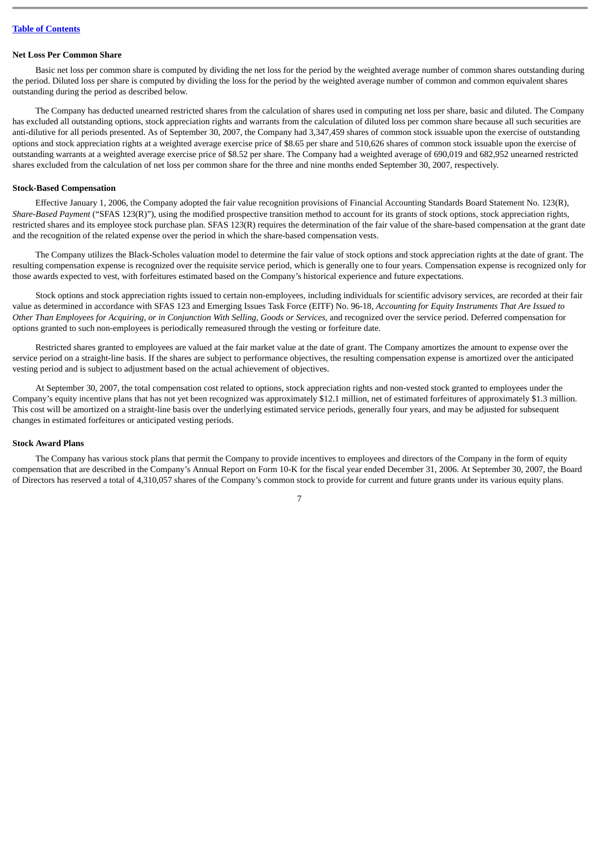# **Net Loss Per Common Share**

Basic net loss per common share is computed by dividing the net loss for the period by the weighted average number of common shares outstanding during the period. Diluted loss per share is computed by dividing the loss for the period by the weighted average number of common and common equivalent shares outstanding during the period as described below.

The Company has deducted unearned restricted shares from the calculation of shares used in computing net loss per share, basic and diluted. The Company has excluded all outstanding options, stock appreciation rights and warrants from the calculation of diluted loss per common share because all such securities are anti-dilutive for all periods presented. As of September 30, 2007, the Company had 3,347,459 shares of common stock issuable upon the exercise of outstanding options and stock appreciation rights at a weighted average exercise price of \$8.65 per share and 510,626 shares of common stock issuable upon the exercise of outstanding warrants at a weighted average exercise price of \$8.52 per share. The Company had a weighted average of 690,019 and 682,952 unearned restricted shares excluded from the calculation of net loss per common share for the three and nine months ended September 30, 2007, respectively.

#### **Stock-Based Compensation**

Effective January 1, 2006, the Company adopted the fair value recognition provisions of Financial Accounting Standards Board Statement No. 123(R), *Share-Based Payment* ("SFAS 123(R)"), using the modified prospective transition method to account for its grants of stock options, stock appreciation rights, restricted shares and its employee stock purchase plan. SFAS 123(R) requires the determination of the fair value of the share-based compensation at the grant date and the recognition of the related expense over the period in which the share-based compensation vests.

The Company utilizes the Black-Scholes valuation model to determine the fair value of stock options and stock appreciation rights at the date of grant. The resulting compensation expense is recognized over the requisite service period, which is generally one to four years. Compensation expense is recognized only for those awards expected to vest, with forfeitures estimated based on the Company's historical experience and future expectations.

Stock options and stock appreciation rights issued to certain non-employees, including individuals for scientific advisory services, are recorded at their fair value as determined in accordance with SFAS 123 and Emerging Issues Task Force (EITF) No. 96-18, *Accounting for Equity Instruments That Are Issued to Other Than Employees for Acquiring, or in Conjunction With Selling, Goods or Services,* and recognized over the service period. Deferred compensation for options granted to such non-employees is periodically remeasured through the vesting or forfeiture date.

Restricted shares granted to employees are valued at the fair market value at the date of grant. The Company amortizes the amount to expense over the service period on a straight-line basis. If the shares are subject to performance objectives, the resulting compensation expense is amortized over the anticipated vesting period and is subject to adjustment based on the actual achievement of objectives.

At September 30, 2007, the total compensation cost related to options, stock appreciation rights and non-vested stock granted to employees under the Company's equity incentive plans that has not yet been recognized was approximately \$12.1 million, net of estimated forfeitures of approximately \$1.3 million. This cost will be amortized on a straight-line basis over the underlying estimated service periods, generally four years, and may be adjusted for subsequent changes in estimated forfeitures or anticipated vesting periods.

#### **Stock Award Plans**

The Company has various stock plans that permit the Company to provide incentives to employees and directors of the Company in the form of equity compensation that are described in the Company's Annual Report on Form 10-K for the fiscal year ended December 31, 2006. At September 30, 2007, the Board of Directors has reserved a total of 4,310,057 shares of the Company's common stock to provide for current and future grants under its various equity plans.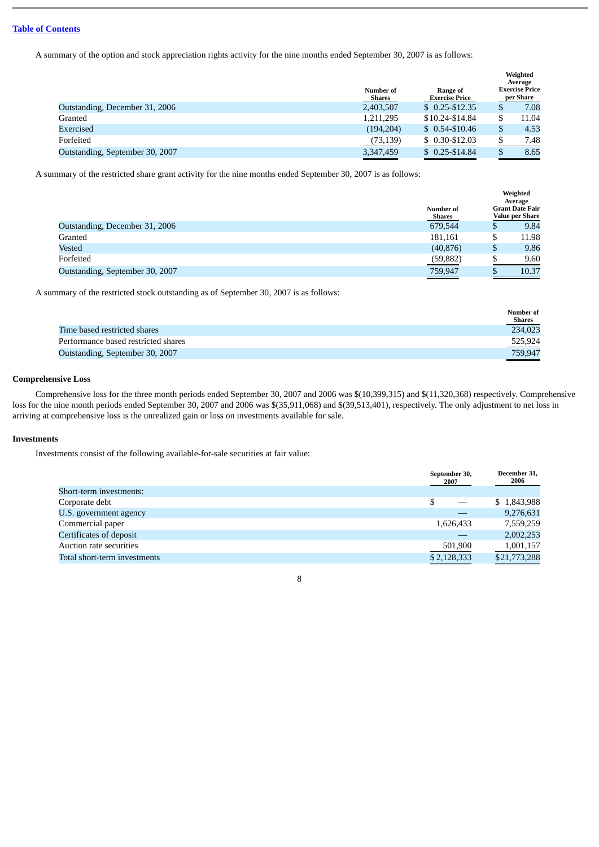A summary of the option and stock appreciation rights activity for the nine months ended September 30, 2007 is as follows:

|                                 | Number of<br>Shares | Range of<br><b>Exercise Price</b> | Weighted<br>Average<br><b>Exercise Price</b><br>per Share |
|---------------------------------|---------------------|-----------------------------------|-----------------------------------------------------------|
| Outstanding, December 31, 2006  | 2,403,507           | $$0.25 - $12.35$                  | \$<br>7.08                                                |
| Granted                         | 1,211,295           | \$10.24-\$14.84                   | \$<br>11.04                                               |
| Exercised                       | (194, 204)          | $$0.54 - $10.46$                  | \$<br>4.53                                                |
| Forfeited                       | (73, 139)           | $$0.30-S12.03$                    | \$<br>7.48                                                |
| Outstanding, September 30, 2007 | 3,347,459           | $$0.25 - $14.84$                  | 8.65                                                      |

A summary of the restricted share grant activity for the nine months ended September 30, 2007 is as follows:

|                                 |                            |    | Weighted<br>Average                       |
|---------------------------------|----------------------------|----|-------------------------------------------|
|                                 | Number of<br><b>Shares</b> |    | <b>Grant Date Fair</b><br>Value per Share |
| Outstanding, December 31, 2006  | 679,544                    | Φ  | 9.84                                      |
| Granted                         | 181,161                    | \$ | 11.98                                     |
| Vested                          | (40, 876)                  | \$ | 9.86                                      |
| Forfeited                       | (59, 882)                  |    | 9.60                                      |
| Outstanding, September 30, 2007 | 759.947                    | Φ  | 10.37                                     |

A summary of the restricted stock outstanding as of September 30, 2007 is as follows:

|                                     | Number of                                    |
|-------------------------------------|----------------------------------------------|
|                                     | <b>Shares</b>                                |
| Time based restricted shares        | 234,023                                      |
| Performance based restricted shares | 525,924                                      |
| Outstanding, September 30, 2007     | 759,947<br>the control of the control of the |

# **Comprehensive Loss**

Comprehensive loss for the three month periods ended September 30, 2007 and 2006 was \$(10,399,315) and \$(11,320,368) respectively. Comprehensive loss for the nine month periods ended September 30, 2007 and 2006 was \$(35,911,068) and \$(39,513,401), respectively. The only adjustment to net loss in arriving at comprehensive loss is the unrealized gain or loss on investments available for sale.

# **Investments**

Investments consist of the following available-for-sale securities at fair value:

|                              | September 30,<br>2007 | December 31,<br>2006 |
|------------------------------|-----------------------|----------------------|
| Short-term investments:      |                       |                      |
| Corporate debt               | \$                    | \$1,843,988          |
| U.S. government agency       |                       | 9,276,631            |
| Commercial paper             | 1,626,433             | 7,559,259            |
| Certificates of deposit      |                       | 2,092,253            |
| Auction rate securities      | 501,900               | 1,001,157            |
| Total short-term investments | \$2,128,333           | \$21,773,288         |
|                              |                       |                      |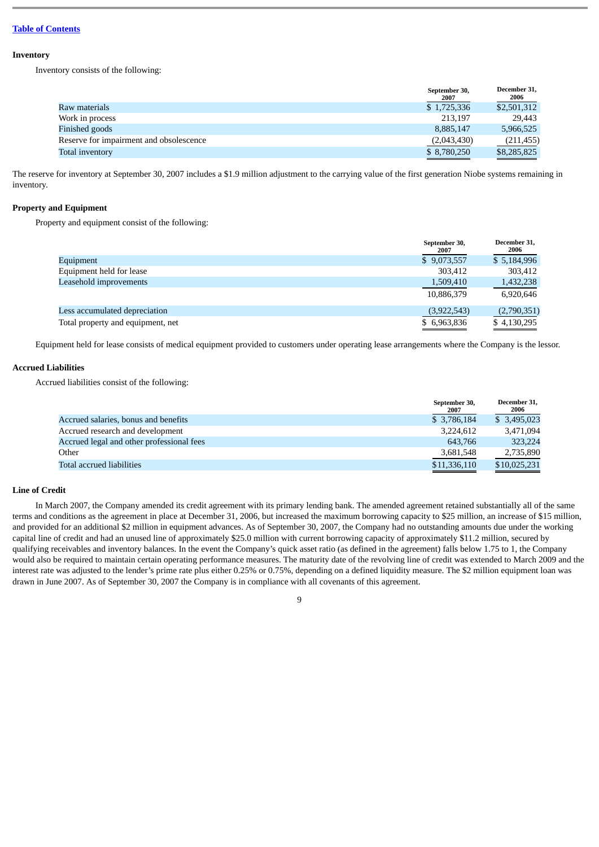#### **Inventory**

Inventory consists of the following:

|                                         | September 30,<br>2007 | December 31,<br>2006 |
|-----------------------------------------|-----------------------|----------------------|
| Raw materials                           | \$1,725,336           | \$2,501,312          |
| Work in process                         | 213.197               | 29.443               |
| Finished goods                          | 8,885,147             | 5,966,525            |
| Reserve for impairment and obsolescence | (2,043,430)           | (211, 455)           |
| Total inventory                         | \$ 8,780,250          | \$8,285,825          |
|                                         |                       |                      |

The reserve for inventory at September 30, 2007 includes a \$1.9 million adjustment to the carrying value of the first generation Niobe systems remaining in inventory.

# **Property and Equipment**

Property and equipment consist of the following:

|                                   | September 30,<br>2007 | December 31,<br>2006 |
|-----------------------------------|-----------------------|----------------------|
| Equipment                         | \$9,073,557           | \$5,184,996          |
| Equipment held for lease          | 303,412               | 303,412              |
| Leasehold improvements            | 1,509,410             | 1,432,238            |
|                                   | 10,886,379            | 6,920,646            |
| Less accumulated depreciation     | (3,922,543)           | (2,790,351)          |
| Total property and equipment, net | \$ 6,963,836          | \$4,130,295          |

Equipment held for lease consists of medical equipment provided to customers under operating lease arrangements where the Company is the lessor.

#### **Accrued Liabilities**

Accrued liabilities consist of the following:

|                                           | September 30,<br>2007 | December 31.<br>2006 |
|-------------------------------------------|-----------------------|----------------------|
| Accrued salaries, bonus and benefits      | \$ 3,786,184          | \$ 3.495,023         |
| Accrued research and development          | 3,224,612             | 3,471,094            |
| Accrued legal and other professional fees | 643.766               | 323.224              |
| Other                                     | 3,681,548             | 2,735,890            |
| Total accrued liabilities                 | \$11,336,110          | \$10,025,231         |

#### **Line of Credit**

In March 2007, the Company amended its credit agreement with its primary lending bank. The amended agreement retained substantially all of the same terms and conditions as the agreement in place at December 31, 2006, but increased the maximum borrowing capacity to \$25 million, an increase of \$15 million, and provided for an additional \$2 million in equipment advances. As of September 30, 2007, the Company had no outstanding amounts due under the working capital line of credit and had an unused line of approximately \$25.0 million with current borrowing capacity of approximately \$11.2 million, secured by qualifying receivables and inventory balances. In the event the Company's quick asset ratio (as defined in the agreement) falls below 1.75 to 1, the Company would also be required to maintain certain operating performance measures. The maturity date of the revolving line of credit was extended to March 2009 and the interest rate was adjusted to the lender's prime rate plus either 0.25% or 0.75%, depending on a defined liquidity measure. The \$2 million equipment loan was drawn in June 2007. As of September 30, 2007 the Company is in compliance with all covenants of this agreement.

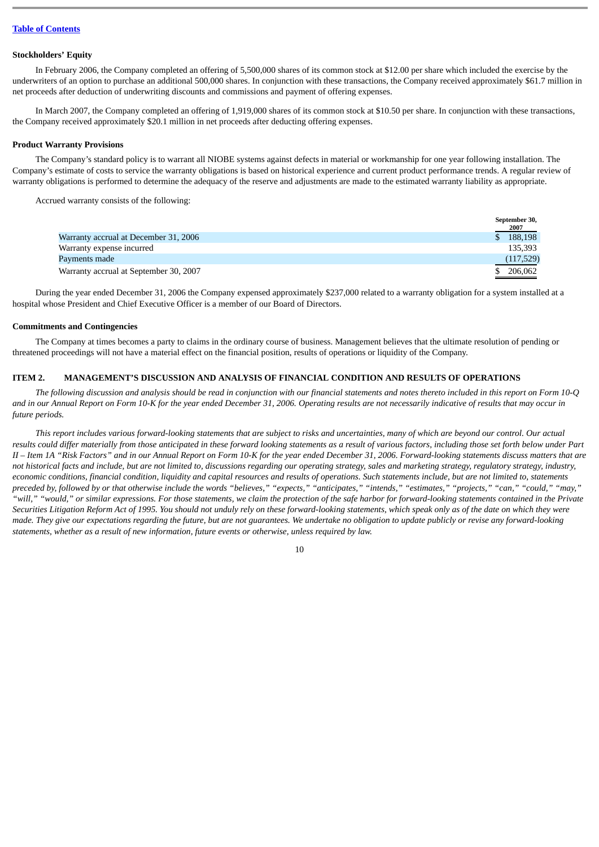#### **Stockholders' Equity**

In February 2006, the Company completed an offering of 5,500,000 shares of its common stock at \$12.00 per share which included the exercise by the underwriters of an option to purchase an additional 500,000 shares. In conjunction with these transactions, the Company received approximately \$61.7 million in net proceeds after deduction of underwriting discounts and commissions and payment of offering expenses.

In March 2007, the Company completed an offering of 1,919,000 shares of its common stock at \$10.50 per share. In conjunction with these transactions, the Company received approximately \$20.1 million in net proceeds after deducting offering expenses.

#### **Product Warranty Provisions**

The Company's standard policy is to warrant all NIOBE systems against defects in material or workmanship for one year following installation. The Company's estimate of costs to service the warranty obligations is based on historical experience and current product performance trends. A regular review of warranty obligations is performed to determine the adequacy of the reserve and adjustments are made to the estimated warranty liability as appropriate.

Accrued warranty consists of the following:

|                                        | September 30, |
|----------------------------------------|---------------|
|                                        | 2007          |
| Warranty accrual at December 31, 2006  | 188,198       |
| Warranty expense incurred              | 135,393       |
| Payments made                          | (117,529)     |
| Warranty accrual at September 30, 2007 | \$ 206,062    |

During the year ended December 31, 2006 the Company expensed approximately \$237,000 related to a warranty obligation for a system installed at a hospital whose President and Chief Executive Officer is a member of our Board of Directors.

#### **Commitments and Contingencies**

The Company at times becomes a party to claims in the ordinary course of business. Management believes that the ultimate resolution of pending or threatened proceedings will not have a material effect on the financial position, results of operations or liquidity of the Company.

### <span id="page-9-0"></span>**ITEM 2. MANAGEMENT'S DISCUSSION AND ANALYSIS OF FINANCIAL CONDITION AND RESULTS OF OPERATIONS**

*The following discussion and analysis should be read in conjunction with our financial statements and notes thereto included in this report on Form 10-Q and in our Annual Report on Form 10-K for the year ended December 31, 2006. Operating results are not necessarily indicative of results that may occur in future periods.*

*This report includes various forward-looking statements that are subject to risks and uncertainties, many of which are beyond our control. Our actual results could differ materially from those anticipated in these forward looking statements as a result of various factors, including those set forth below under Part II – Item 1A "Risk Factors" and in our Annual Report on Form 10-K for the year ended December 31, 2006. Forward-looking statements discuss matters that are not historical facts and include, but are not limited to, discussions regarding our operating strategy, sales and marketing strategy, regulatory strategy, industry, economic conditions, financial condition, liquidity and capital resources and results of operations. Such statements include, but are not limited to, statements preceded by, followed by or that otherwise include the words "believes," "expects," "anticipates," "intends," "estimates," "projects," "can," "could," "may," "will," "would," or similar expressions. For those statements, we claim the protection of the safe harbor for forward-looking statements contained in the Private Securities Litigation Reform Act of 1995. You should not unduly rely on these forward-looking statements, which speak only as of the date on which they were made. They give our expectations regarding the future, but are not guarantees. We undertake no obligation to update publicly or revise any forward-looking statements, whether as a result of new information, future events or otherwise, unless required by law.*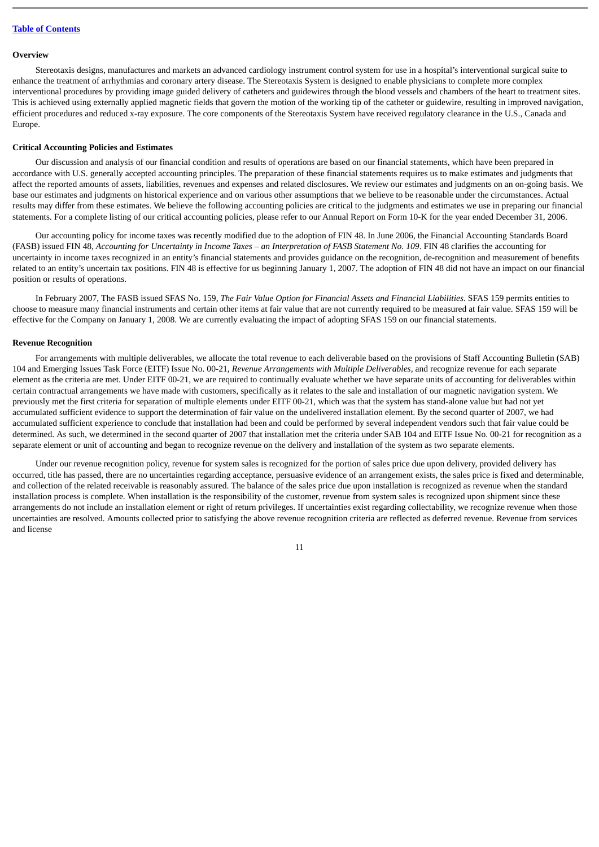#### **Overview**

Stereotaxis designs, manufactures and markets an advanced cardiology instrument control system for use in a hospital's interventional surgical suite to enhance the treatment of arrhythmias and coronary artery disease. The Stereotaxis System is designed to enable physicians to complete more complex interventional procedures by providing image guided delivery of catheters and guidewires through the blood vessels and chambers of the heart to treatment sites. This is achieved using externally applied magnetic fields that govern the motion of the working tip of the catheter or guidewire, resulting in improved navigation, efficient procedures and reduced x-ray exposure. The core components of the Stereotaxis System have received regulatory clearance in the U.S., Canada and Europe.

#### **Critical Accounting Policies and Estimates**

Our discussion and analysis of our financial condition and results of operations are based on our financial statements, which have been prepared in accordance with U.S. generally accepted accounting principles. The preparation of these financial statements requires us to make estimates and judgments that affect the reported amounts of assets, liabilities, revenues and expenses and related disclosures. We review our estimates and judgments on an on-going basis. We base our estimates and judgments on historical experience and on various other assumptions that we believe to be reasonable under the circumstances. Actual results may differ from these estimates. We believe the following accounting policies are critical to the judgments and estimates we use in preparing our financial statements. For a complete listing of our critical accounting policies, please refer to our Annual Report on Form 10-K for the year ended December 31, 2006.

Our accounting policy for income taxes was recently modified due to the adoption of FIN 48. In June 2006, the Financial Accounting Standards Board (FASB) issued FIN 48, *Accounting for Uncertainty in Income Taxes – an Interpretation of FASB Statement No. 109*. FIN 48 clarifies the accounting for uncertainty in income taxes recognized in an entity's financial statements and provides guidance on the recognition, de-recognition and measurement of benefits related to an entity's uncertain tax positions. FIN 48 is effective for us beginning January 1, 2007. The adoption of FIN 48 did not have an impact on our financial position or results of operations.

In February 2007, The FASB issued SFAS No. 159, *The Fair Value Option for Financial Assets and Financial Liabilities*. SFAS 159 permits entities to choose to measure many financial instruments and certain other items at fair value that are not currently required to be measured at fair value. SFAS 159 will be effective for the Company on January 1, 2008. We are currently evaluating the impact of adopting SFAS 159 on our financial statements.

#### **Revenue Recognition**

For arrangements with multiple deliverables, we allocate the total revenue to each deliverable based on the provisions of Staff Accounting Bulletin (SAB) 104 and Emerging Issues Task Force (EITF) Issue No. 00-21, *Revenue Arrangements with Multiple Deliverables,* and recognize revenue for each separate element as the criteria are met. Under EITF 00-21, we are required to continually evaluate whether we have separate units of accounting for deliverables within certain contractual arrangements we have made with customers, specifically as it relates to the sale and installation of our magnetic navigation system. We previously met the first criteria for separation of multiple elements under EITF 00-21, which was that the system has stand-alone value but had not yet accumulated sufficient evidence to support the determination of fair value on the undelivered installation element. By the second quarter of 2007, we had accumulated sufficient experience to conclude that installation had been and could be performed by several independent vendors such that fair value could be determined. As such, we determined in the second quarter of 2007 that installation met the criteria under SAB 104 and EITF Issue No. 00-21 for recognition as a separate element or unit of accounting and began to recognize revenue on the delivery and installation of the system as two separate elements.

Under our revenue recognition policy, revenue for system sales is recognized for the portion of sales price due upon delivery, provided delivery has occurred, title has passed, there are no uncertainties regarding acceptance, persuasive evidence of an arrangement exists, the sales price is fixed and determinable, and collection of the related receivable is reasonably assured. The balance of the sales price due upon installation is recognized as revenue when the standard installation process is complete. When installation is the responsibility of the customer, revenue from system sales is recognized upon shipment since these arrangements do not include an installation element or right of return privileges. If uncertainties exist regarding collectability, we recognize revenue when those uncertainties are resolved. Amounts collected prior to satisfying the above revenue recognition criteria are reflected as deferred revenue. Revenue from services and license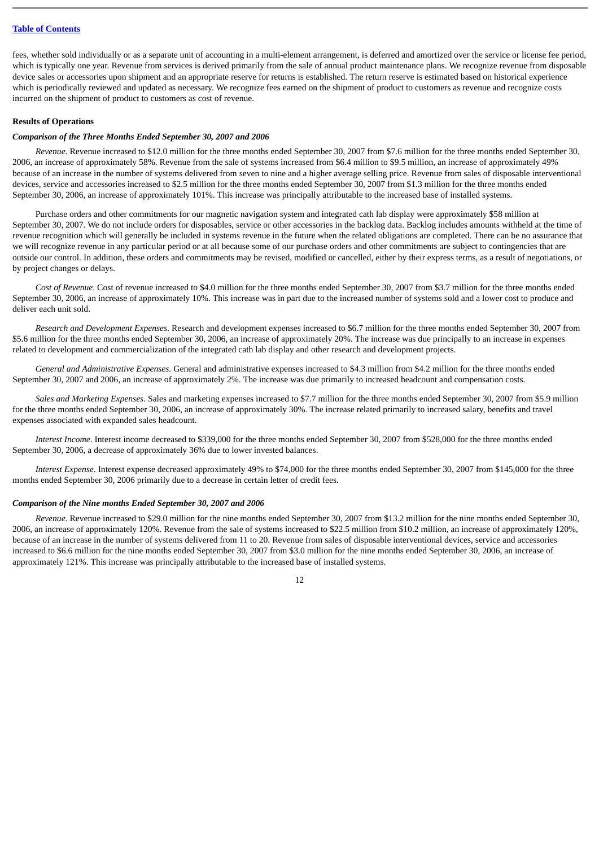fees, whether sold individually or as a separate unit of accounting in a multi-element arrangement, is deferred and amortized over the service or license fee period, which is typically one year. Revenue from services is derived primarily from the sale of annual product maintenance plans. We recognize revenue from disposable device sales or accessories upon shipment and an appropriate reserve for returns is established. The return reserve is estimated based on historical experience which is periodically reviewed and updated as necessary. We recognize fees earned on the shipment of product to customers as revenue and recognize costs incurred on the shipment of product to customers as cost of revenue.

## **Results of Operations**

#### *Comparison of the Three Months Ended September 30, 2007 and 2006*

*Revenue*. Revenue increased to \$12.0 million for the three months ended September 30, 2007 from \$7.6 million for the three months ended September 30, 2006, an increase of approximately 58%. Revenue from the sale of systems increased from \$6.4 million to \$9.5 million, an increase of approximately 49% because of an increase in the number of systems delivered from seven to nine and a higher average selling price. Revenue from sales of disposable interventional devices, service and accessories increased to \$2.5 million for the three months ended September 30, 2007 from \$1.3 million for the three months ended September 30, 2006, an increase of approximately 101%. This increase was principally attributable to the increased base of installed systems.

Purchase orders and other commitments for our magnetic navigation system and integrated cath lab display were approximately \$58 million at September 30, 2007. We do not include orders for disposables, service or other accessories in the backlog data. Backlog includes amounts withheld at the time of revenue recognition which will generally be included in systems revenue in the future when the related obligations are completed. There can be no assurance that we will recognize revenue in any particular period or at all because some of our purchase orders and other commitments are subject to contingencies that are outside our control. In addition, these orders and commitments may be revised, modified or cancelled, either by their express terms, as a result of negotiations, or by project changes or delays.

*Cost of Revenue*. Cost of revenue increased to \$4.0 million for the three months ended September 30, 2007 from \$3.7 million for the three months ended September 30, 2006, an increase of approximately 10%. This increase was in part due to the increased number of systems sold and a lower cost to produce and deliver each unit sold.

*Research and Development Expenses*. Research and development expenses increased to \$6.7 million for the three months ended September 30, 2007 from \$5.6 million for the three months ended September 30, 2006, an increase of approximately 20%. The increase was due principally to an increase in expenses related to development and commercialization of the integrated cath lab display and other research and development projects.

*General and Administrative Expenses*. General and administrative expenses increased to \$4.3 million from \$4.2 million for the three months ended September 30, 2007 and 2006, an increase of approximately 2%. The increase was due primarily to increased headcount and compensation costs.

*Sales and Marketing Expenses*. Sales and marketing expenses increased to \$7.7 million for the three months ended September 30, 2007 from \$5.9 million for the three months ended September 30, 2006, an increase of approximately 30%. The increase related primarily to increased salary, benefits and travel expenses associated with expanded sales headcount.

*Interest Income*. Interest income decreased to \$339,000 for the three months ended September 30, 2007 from \$528,000 for the three months ended September 30, 2006, a decrease of approximately 36% due to lower invested balances.

*Interest Expense*. Interest expense decreased approximately 49% to \$74,000 for the three months ended September 30, 2007 from \$145,000 for the three months ended September 30, 2006 primarily due to a decrease in certain letter of credit fees.

#### *Comparison of the Nine months Ended September 30, 2007 and 2006*

*Revenue*. Revenue increased to \$29.0 million for the nine months ended September 30, 2007 from \$13.2 million for the nine months ended September 30, 2006, an increase of approximately 120%. Revenue from the sale of systems increased to \$22.5 million from \$10.2 million, an increase of approximately 120%, because of an increase in the number of systems delivered from 11 to 20. Revenue from sales of disposable interventional devices, service and accessories increased to \$6.6 million for the nine months ended September 30, 2007 from \$3.0 million for the nine months ended September 30, 2006, an increase of approximately 121%. This increase was principally attributable to the increased base of installed systems.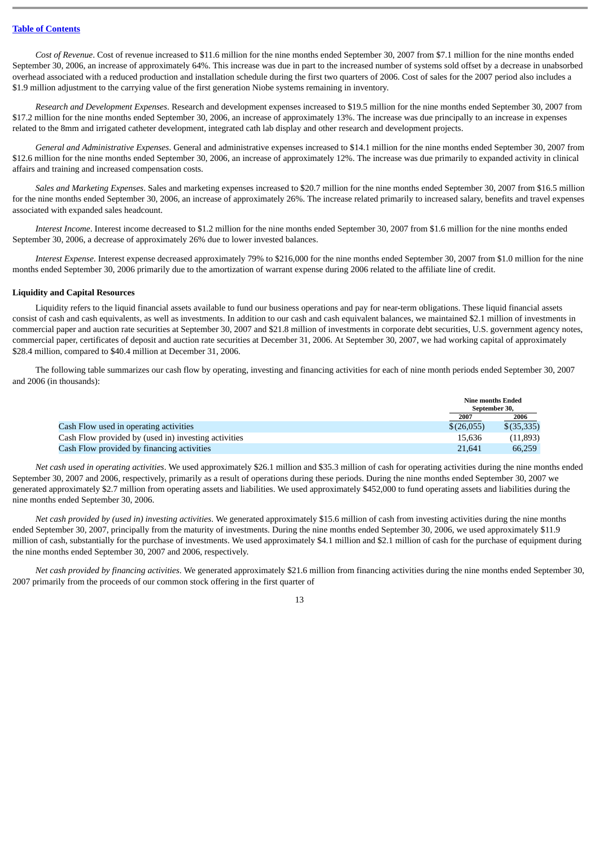*Cost of Revenue*. Cost of revenue increased to \$11.6 million for the nine months ended September 30, 2007 from \$7.1 million for the nine months ended September 30, 2006, an increase of approximately 64%. This increase was due in part to the increased number of systems sold offset by a decrease in unabsorbed overhead associated with a reduced production and installation schedule during the first two quarters of 2006. Cost of sales for the 2007 period also includes a \$1.9 million adjustment to the carrying value of the first generation Niobe systems remaining in inventory.

*Research and Development Expenses*. Research and development expenses increased to \$19.5 million for the nine months ended September 30, 2007 from \$17.2 million for the nine months ended September 30, 2006, an increase of approximately 13%. The increase was due principally to an increase in expenses related to the 8mm and irrigated catheter development, integrated cath lab display and other research and development projects.

*General and Administrative Expenses*. General and administrative expenses increased to \$14.1 million for the nine months ended September 30, 2007 from \$12.6 million for the nine months ended September 30, 2006, an increase of approximately 12%. The increase was due primarily to expanded activity in clinical affairs and training and increased compensation costs.

*Sales and Marketing Expenses*. Sales and marketing expenses increased to \$20.7 million for the nine months ended September 30, 2007 from \$16.5 million for the nine months ended September 30, 2006, an increase of approximately 26%. The increase related primarily to increased salary, benefits and travel expenses associated with expanded sales headcount.

*Interest Income*. Interest income decreased to \$1.2 million for the nine months ended September 30, 2007 from \$1.6 million for the nine months ended September 30, 2006, a decrease of approximately 26% due to lower invested balances.

*Interest Expense*. Interest expense decreased approximately 79% to \$216,000 for the nine months ended September 30, 2007 from \$1.0 million for the nine months ended September 30, 2006 primarily due to the amortization of warrant expense during 2006 related to the affiliate line of credit.

#### **Liquidity and Capital Resources**

Liquidity refers to the liquid financial assets available to fund our business operations and pay for near-term obligations. These liquid financial assets consist of cash and cash equivalents, as well as investments. In addition to our cash and cash equivalent balances, we maintained \$2.1 million of investments in commercial paper and auction rate securities at September 30, 2007 and \$21.8 million of investments in corporate debt securities, U.S. government agency notes, commercial paper, certificates of deposit and auction rate securities at December 31, 2006. At September 30, 2007, we had working capital of approximately \$28.4 million, compared to \$40.4 million at December 31, 2006.

The following table summarizes our cash flow by operating, investing and financing activities for each of nine month periods ended September 30, 2007 and 2006 (in thousands):

|                                                      |            | <b>Nine months Ended</b><br>September 30, |  |
|------------------------------------------------------|------------|-------------------------------------------|--|
|                                                      | 2007       | 2006                                      |  |
| Cash Flow used in operating activities               | \$(26,055) | $$$ (35,335)                              |  |
| Cash Flow provided by (used in) investing activities |            | (11,893)                                  |  |
| Cash Flow provided by financing activities           |            | 66,259                                    |  |

*Net cash used in operating activities*. We used approximately \$26.1 million and \$35.3 million of cash for operating activities during the nine months ended September 30, 2007 and 2006, respectively, primarily as a result of operations during these periods. During the nine months ended September 30, 2007 we generated approximately \$2.7 million from operating assets and liabilities. We used approximately \$452,000 to fund operating assets and liabilities during the nine months ended September 30, 2006.

*Net cash provided by (used in) investing activities*. We generated approximately \$15.6 million of cash from investing activities during the nine months ended September 30, 2007, principally from the maturity of investments. During the nine months ended September 30, 2006, we used approximately \$11.9 million of cash, substantially for the purchase of investments. We used approximately \$4.1 million and \$2.1 million of cash for the purchase of equipment during the nine months ended September 30, 2007 and 2006, respectively.

*Net cash provided by financing activities*. We generated approximately \$21.6 million from financing activities during the nine months ended September 30, 2007 primarily from the proceeds of our common stock offering in the first quarter of

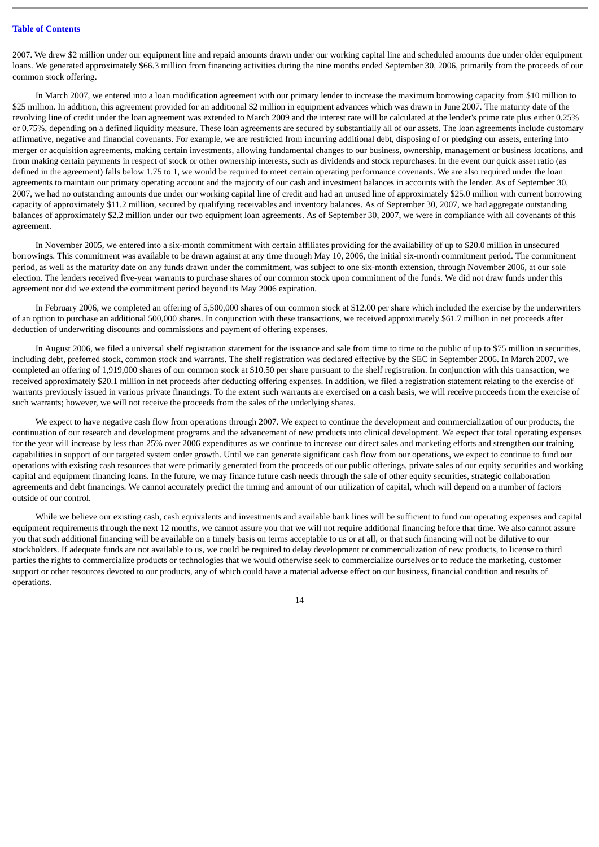2007. We drew \$2 million under our equipment line and repaid amounts drawn under our working capital line and scheduled amounts due under older equipment loans. We generated approximately \$66.3 million from financing activities during the nine months ended September 30, 2006, primarily from the proceeds of our common stock offering.

In March 2007, we entered into a loan modification agreement with our primary lender to increase the maximum borrowing capacity from \$10 million to \$25 million. In addition, this agreement provided for an additional \$2 million in equipment advances which was drawn in June 2007. The maturity date of the revolving line of credit under the loan agreement was extended to March 2009 and the interest rate will be calculated at the lender's prime rate plus either 0.25% or 0.75%, depending on a defined liquidity measure. These loan agreements are secured by substantially all of our assets. The loan agreements include customary affirmative, negative and financial covenants. For example, we are restricted from incurring additional debt, disposing of or pledging our assets, entering into merger or acquisition agreements, making certain investments, allowing fundamental changes to our business, ownership, management or business locations, and from making certain payments in respect of stock or other ownership interests, such as dividends and stock repurchases. In the event our quick asset ratio (as defined in the agreement) falls below 1.75 to 1, we would be required to meet certain operating performance covenants. We are also required under the loan agreements to maintain our primary operating account and the majority of our cash and investment balances in accounts with the lender. As of September 30, 2007, we had no outstanding amounts due under our working capital line of credit and had an unused line of approximately \$25.0 million with current borrowing capacity of approximately \$11.2 million, secured by qualifying receivables and inventory balances. As of September 30, 2007, we had aggregate outstanding balances of approximately \$2.2 million under our two equipment loan agreements. As of September 30, 2007, we were in compliance with all covenants of this agreement.

In November 2005, we entered into a six-month commitment with certain affiliates providing for the availability of up to \$20.0 million in unsecured borrowings. This commitment was available to be drawn against at any time through May 10, 2006, the initial six-month commitment period. The commitment period, as well as the maturity date on any funds drawn under the commitment, was subject to one six-month extension, through November 2006, at our sole election. The lenders received five-year warrants to purchase shares of our common stock upon commitment of the funds. We did not draw funds under this agreement nor did we extend the commitment period beyond its May 2006 expiration.

In February 2006, we completed an offering of 5,500,000 shares of our common stock at \$12.00 per share which included the exercise by the underwriters of an option to purchase an additional 500,000 shares. In conjunction with these transactions, we received approximately \$61.7 million in net proceeds after deduction of underwriting discounts and commissions and payment of offering expenses.

In August 2006, we filed a universal shelf registration statement for the issuance and sale from time to time to the public of up to \$75 million in securities, including debt, preferred stock, common stock and warrants. The shelf registration was declared effective by the SEC in September 2006. In March 2007, we completed an offering of 1,919,000 shares of our common stock at \$10.50 per share pursuant to the shelf registration. In conjunction with this transaction, we received approximately \$20.1 million in net proceeds after deducting offering expenses. In addition, we filed a registration statement relating to the exercise of warrants previously issued in various private financings. To the extent such warrants are exercised on a cash basis, we will receive proceeds from the exercise of such warrants; however, we will not receive the proceeds from the sales of the underlying shares.

We expect to have negative cash flow from operations through 2007. We expect to continue the development and commercialization of our products, the continuation of our research and development programs and the advancement of new products into clinical development. We expect that total operating expenses for the year will increase by less than 25% over 2006 expenditures as we continue to increase our direct sales and marketing efforts and strengthen our training capabilities in support of our targeted system order growth. Until we can generate significant cash flow from our operations, we expect to continue to fund our operations with existing cash resources that were primarily generated from the proceeds of our public offerings, private sales of our equity securities and working capital and equipment financing loans. In the future, we may finance future cash needs through the sale of other equity securities, strategic collaboration agreements and debt financings. We cannot accurately predict the timing and amount of our utilization of capital, which will depend on a number of factors outside of our control.

While we believe our existing cash, cash equivalents and investments and available bank lines will be sufficient to fund our operating expenses and capital equipment requirements through the next 12 months, we cannot assure you that we will not require additional financing before that time. We also cannot assure you that such additional financing will be available on a timely basis on terms acceptable to us or at all, or that such financing will not be dilutive to our stockholders. If adequate funds are not available to us, we could be required to delay development or commercialization of new products, to license to third parties the rights to commercialize products or technologies that we would otherwise seek to commercialize ourselves or to reduce the marketing, customer support or other resources devoted to our products, any of which could have a material adverse effect on our business, financial condition and results of operations.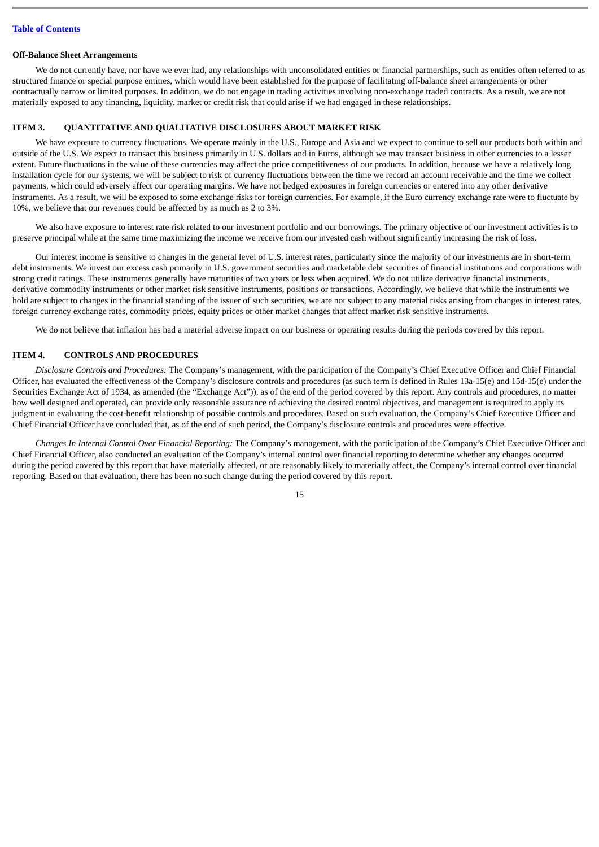#### **Off-Balance Sheet Arrangements**

We do not currently have, nor have we ever had, any relationships with unconsolidated entities or financial partnerships, such as entities often referred to as structured finance or special purpose entities, which would have been established for the purpose of facilitating off-balance sheet arrangements or other contractually narrow or limited purposes. In addition, we do not engage in trading activities involving non-exchange traded contracts. As a result, we are not materially exposed to any financing, liquidity, market or credit risk that could arise if we had engaged in these relationships.

# <span id="page-14-0"></span>**ITEM 3. QUANTITATIVE AND QUALITATIVE DISCLOSURES ABOUT MARKET RISK**

We have exposure to currency fluctuations. We operate mainly in the U.S., Europe and Asia and we expect to continue to sell our products both within and outside of the U.S. We expect to transact this business primarily in U.S. dollars and in Euros, although we may transact business in other currencies to a lesser extent. Future fluctuations in the value of these currencies may affect the price competitiveness of our products. In addition, because we have a relatively long installation cycle for our systems, we will be subject to risk of currency fluctuations between the time we record an account receivable and the time we collect payments, which could adversely affect our operating margins. We have not hedged exposures in foreign currencies or entered into any other derivative instruments. As a result, we will be exposed to some exchange risks for foreign currencies. For example, if the Euro currency exchange rate were to fluctuate by 10%, we believe that our revenues could be affected by as much as 2 to 3%.

We also have exposure to interest rate risk related to our investment portfolio and our borrowings. The primary objective of our investment activities is to preserve principal while at the same time maximizing the income we receive from our invested cash without significantly increasing the risk of loss.

Our interest income is sensitive to changes in the general level of U.S. interest rates, particularly since the majority of our investments are in short-term debt instruments. We invest our excess cash primarily in U.S. government securities and marketable debt securities of financial institutions and corporations with strong credit ratings. These instruments generally have maturities of two years or less when acquired. We do not utilize derivative financial instruments, derivative commodity instruments or other market risk sensitive instruments, positions or transactions. Accordingly, we believe that while the instruments we hold are subject to changes in the financial standing of the issuer of such securities, we are not subject to any material risks arising from changes in interest rates, foreign currency exchange rates, commodity prices, equity prices or other market changes that affect market risk sensitive instruments.

We do not believe that inflation has had a material adverse impact on our business or operating results during the periods covered by this report.

#### <span id="page-14-1"></span>**ITEM 4. CONTROLS AND PROCEDURES**

*Disclosure Controls and Procedures:* The Company's management, with the participation of the Company's Chief Executive Officer and Chief Financial Officer, has evaluated the effectiveness of the Company's disclosure controls and procedures (as such term is defined in Rules 13a-15(e) and 15d-15(e) under the Securities Exchange Act of 1934, as amended (the "Exchange Act")), as of the end of the period covered by this report. Any controls and procedures, no matter how well designed and operated, can provide only reasonable assurance of achieving the desired control objectives, and management is required to apply its judgment in evaluating the cost-benefit relationship of possible controls and procedures. Based on such evaluation, the Company's Chief Executive Officer and Chief Financial Officer have concluded that, as of the end of such period, the Company's disclosure controls and procedures were effective.

*Changes In Internal Control Over Financial Reporting:* The Company's management, with the participation of the Company's Chief Executive Officer and Chief Financial Officer, also conducted an evaluation of the Company's internal control over financial reporting to determine whether any changes occurred during the period covered by this report that have materially affected, or are reasonably likely to materially affect, the Company's internal control over financial reporting. Based on that evaluation, there has been no such change during the period covered by this report.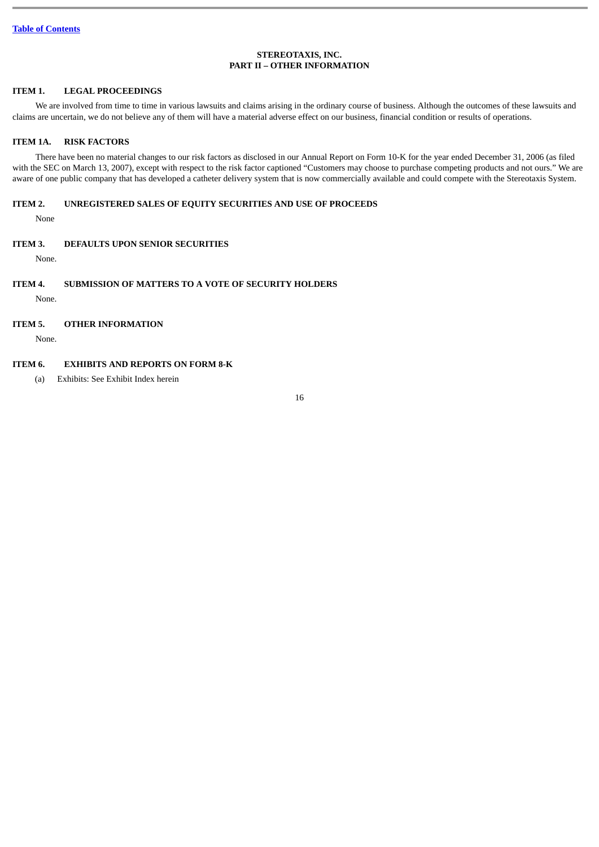## **STEREOTAXIS, INC. PART II – OTHER INFORMATION**

#### <span id="page-15-1"></span><span id="page-15-0"></span>**ITEM 1. LEGAL PROCEEDINGS**

We are involved from time to time in various lawsuits and claims arising in the ordinary course of business. Although the outcomes of these lawsuits and claims are uncertain, we do not believe any of them will have a material adverse effect on our business, financial condition or results of operations.

# <span id="page-15-2"></span>**ITEM 1A. RISK FACTORS**

There have been no material changes to our risk factors as disclosed in our Annual Report on Form 10-K for the year ended December 31, 2006 (as filed with the SEC on March 13, 2007), except with respect to the risk factor captioned "Customers may choose to purchase competing products and not ours." We are aware of one public company that has developed a catheter delivery system that is now commercially available and could compete with the Stereotaxis System.

# <span id="page-15-3"></span>**ITEM 2. UNREGISTERED SALES OF EQUITY SECURITIES AND USE OF PROCEEDS**

None

# <span id="page-15-4"></span>**ITEM 3. DEFAULTS UPON SENIOR SECURITIES**

None.

# <span id="page-15-5"></span>**ITEM 4. SUBMISSION OF MATTERS TO A VOTE OF SECURITY HOLDERS**

None.

#### <span id="page-15-6"></span>**ITEM 5. OTHER INFORMATION**

None.

# <span id="page-15-7"></span>**ITEM 6. EXHIBITS AND REPORTS ON FORM 8-K**

(a) Exhibits: See Exhibit Index herein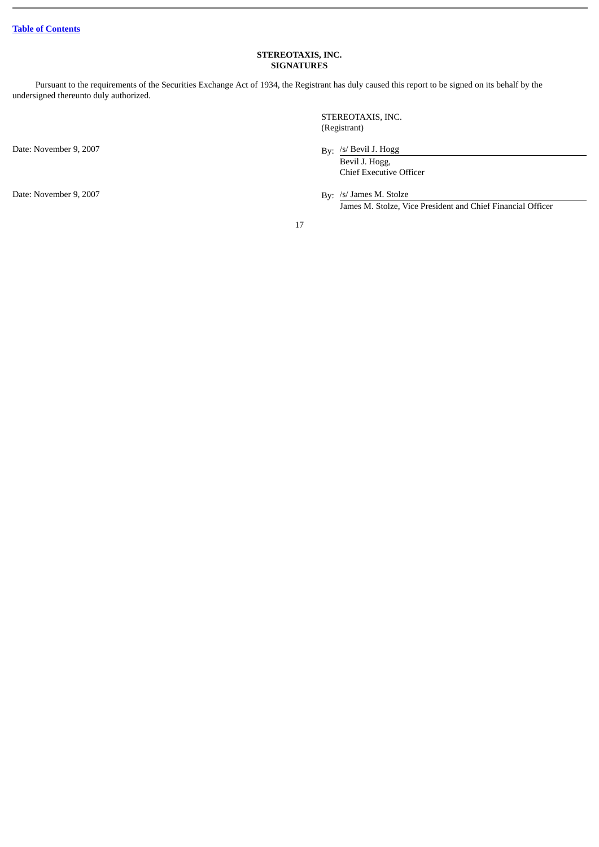# **STEREOTAXIS, INC. SIGNATURES**

<span id="page-16-0"></span>Pursuant to the requirements of the Securities Exchange Act of 1934, the Registrant has duly caused this report to be signed on its behalf by the undersigned thereunto duly authorized.

Date: November 9, 2007 By: /s/ Bevil J. Hogg

STEREOTAXIS, INC. (Registrant)

Bevil J. Hogg, Chief Executive Officer

Date: November 9, 2007 By: /s/ James M. Stolze

James M. Stolze, Vice President and Chief Financial Officer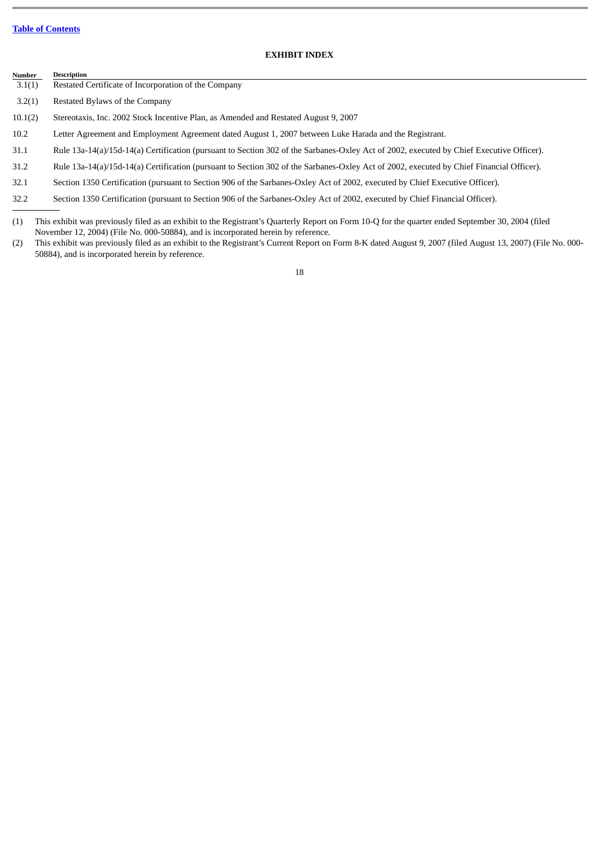# **EXHIBIT INDEX**

<span id="page-17-0"></span>

| Number  | Description                                                                                                                              |
|---------|------------------------------------------------------------------------------------------------------------------------------------------|
| 3.1(1)  | Restated Certificate of Incorporation of the Company                                                                                     |
| 3.2(1)  | Restated Bylaws of the Company                                                                                                           |
| 10.1(2) | Stereotaxis, Inc. 2002 Stock Incentive Plan, as Amended and Restated August 9, 2007                                                      |
| 10.2    | Letter Agreement and Employment Agreement dated August 1, 2007 between Luke Harada and the Registrant.                                   |
| 31.1    | Rule 13a-14(a)/15d-14(a) Certification (pursuant to Section 302 of the Sarbanes-Oxley Act of 2002, executed by Chief Executive Officer). |
| 31.2    | Rule 13a-14(a)/15d-14(a) Certification (pursuant to Section 302 of the Sarbanes-Oxley Act of 2002, executed by Chief Financial Officer). |
| 32.1    | Section 1350 Certification (pursuant to Section 906 of the Sarbanes-Oxley Act of 2002, executed by Chief Executive Officer).             |
| 32.2    | Section 1350 Certification (pursuant to Section 906 of the Sarbanes-Oxley Act of 2002, executed by Chief Financial Officer).             |

<sup>(1)</sup> This exhibit was previously filed as an exhibit to the Registrant's Quarterly Report on Form 10-Q for the quarter ended September 30, 2004 (filed November 12, 2004) (File No. 000-50884), and is incorporated herein by reference.

(2) This exhibit was previously filed as an exhibit to the Registrant's Current Report on Form 8-K dated August 9, 2007 (filed August 13, 2007) (File No. 000- 50884), and is incorporated herein by reference.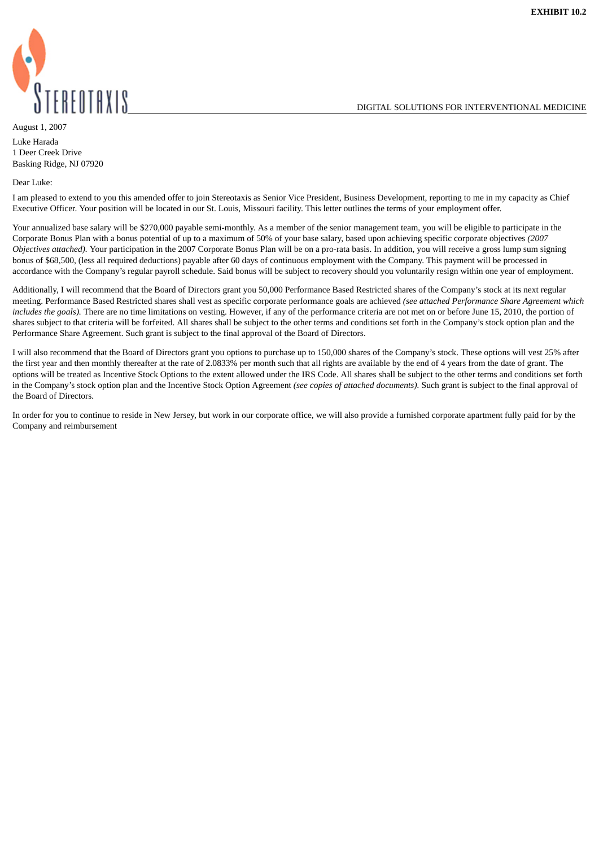

August 1, 2007 Luke Harada 1 Deer Creek Drive Basking Ridge, NJ 07920

Dear Luke:

I am pleased to extend to you this amended offer to join Stereotaxis as Senior Vice President, Business Development, reporting to me in my capacity as Chief Executive Officer. Your position will be located in our St. Louis, Missouri facility. This letter outlines the terms of your employment offer.

Your annualized base salary will be \$270,000 payable semi-monthly. As a member of the senior management team, you will be eligible to participate in the Corporate Bonus Plan with a bonus potential of up to a maximum of 50% of your base salary, based upon achieving specific corporate objectives *(2007 Objectives attached).* Your participation in the 2007 Corporate Bonus Plan will be on a pro-rata basis. In addition, you will receive a gross lump sum signing bonus of \$68,500, (less all required deductions) payable after 60 days of continuous employment with the Company. This payment will be processed in accordance with the Company's regular payroll schedule. Said bonus will be subject to recovery should you voluntarily resign within one year of employment.

Additionally, I will recommend that the Board of Directors grant you 50,000 Performance Based Restricted shares of the Company's stock at its next regular meeting. Performance Based Restricted shares shall vest as specific corporate performance goals are achieved *(see attached Performance Share Agreement which includes the goals).* There are no time limitations on vesting. However, if any of the performance criteria are not met on or before June 15, 2010, the portion of shares subject to that criteria will be forfeited. All shares shall be subject to the other terms and conditions set forth in the Company's stock option plan and the Performance Share Agreement. Such grant is subject to the final approval of the Board of Directors.

I will also recommend that the Board of Directors grant you options to purchase up to 150,000 shares of the Company's stock. These options will vest 25% after the first year and then monthly thereafter at the rate of 2.0833% per month such that all rights are available by the end of 4 years from the date of grant. The options will be treated as Incentive Stock Options to the extent allowed under the IRS Code. All shares shall be subject to the other terms and conditions set forth in the Company's stock option plan and the Incentive Stock Option Agreement *(see copies of attached documents).* Such grant is subject to the final approval of the Board of Directors.

In order for you to continue to reside in New Jersey, but work in our corporate office, we will also provide a furnished corporate apartment fully paid for by the Company and reimbursement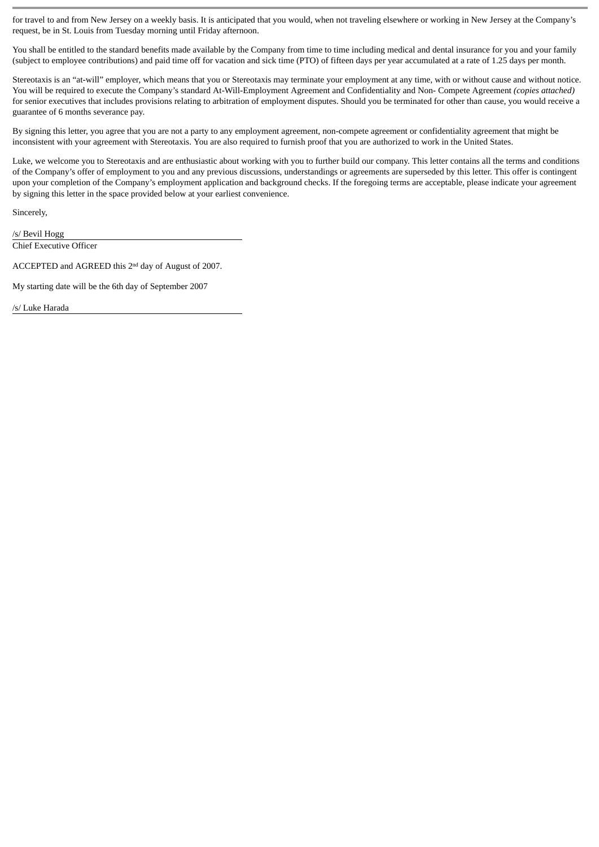for travel to and from New Jersey on a weekly basis. It is anticipated that you would, when not traveling elsewhere or working in New Jersey at the Company's request, be in St. Louis from Tuesday morning until Friday afternoon.

You shall be entitled to the standard benefits made available by the Company from time to time including medical and dental insurance for you and your family (subject to employee contributions) and paid time off for vacation and sick time (PTO) of fifteen days per year accumulated at a rate of 1.25 days per month.

Stereotaxis is an "at-will" employer, which means that you or Stereotaxis may terminate your employment at any time, with or without cause and without notice. You will be required to execute the Company's standard At-Will-Employment Agreement and Confidentiality and Non- Compete Agreement *(copies attached)* for senior executives that includes provisions relating to arbitration of employment disputes. Should you be terminated for other than cause, you would receive a guarantee of 6 months severance pay.

By signing this letter, you agree that you are not a party to any employment agreement, non-compete agreement or confidentiality agreement that might be inconsistent with your agreement with Stereotaxis. You are also required to furnish proof that you are authorized to work in the United States.

Luke, we welcome you to Stereotaxis and are enthusiastic about working with you to further build our company. This letter contains all the terms and conditions of the Company's offer of employment to you and any previous discussions, understandings or agreements are superseded by this letter. This offer is contingent upon your completion of the Company's employment application and background checks. If the foregoing terms are acceptable, please indicate your agreement by signing this letter in the space provided below at your earliest convenience.

Sincerely,

/s/ Bevil Hogg Chief Executive Officer

ACCEPTED and AGREED this 2nd day of August of 2007.

My starting date will be the 6th day of September 2007

/s/ Luke Harada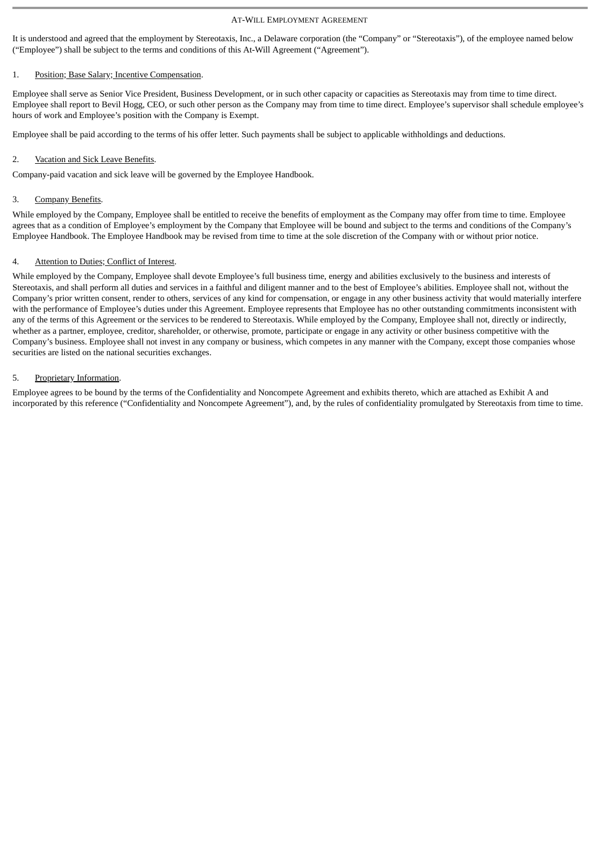#### AT-WILL EMPLOYMENT AGREEMENT

It is understood and agreed that the employment by Stereotaxis, Inc., a Delaware corporation (the "Company" or "Stereotaxis"), of the employee named below ("Employee") shall be subject to the terms and conditions of this At-Will Agreement ("Agreement").

# 1. Position; Base Salary; Incentive Compensation.

Employee shall serve as Senior Vice President, Business Development, or in such other capacity or capacities as Stereotaxis may from time to time direct. Employee shall report to Bevil Hogg, CEO, or such other person as the Company may from time to time direct. Employee's supervisor shall schedule employee's hours of work and Employee's position with the Company is Exempt.

Employee shall be paid according to the terms of his offer letter. Such payments shall be subject to applicable withholdings and deductions.

# 2. Vacation and Sick Leave Benefits.

Company-paid vacation and sick leave will be governed by the Employee Handbook.

### 3. Company Benefits.

While employed by the Company, Employee shall be entitled to receive the benefits of employment as the Company may offer from time to time. Employee agrees that as a condition of Employee's employment by the Company that Employee will be bound and subject to the terms and conditions of the Company's Employee Handbook. The Employee Handbook may be revised from time to time at the sole discretion of the Company with or without prior notice.

### 4. Attention to Duties; Conflict of Interest.

While employed by the Company, Employee shall devote Employee's full business time, energy and abilities exclusively to the business and interests of Stereotaxis, and shall perform all duties and services in a faithful and diligent manner and to the best of Employee's abilities. Employee shall not, without the Company's prior written consent, render to others, services of any kind for compensation, or engage in any other business activity that would materially interfere with the performance of Employee's duties under this Agreement. Employee represents that Employee has no other outstanding commitments inconsistent with any of the terms of this Agreement or the services to be rendered to Stereotaxis. While employed by the Company, Employee shall not, directly or indirectly, whether as a partner, employee, creditor, shareholder, or otherwise, promote, participate or engage in any activity or other business competitive with the Company's business. Employee shall not invest in any company or business, which competes in any manner with the Company, except those companies whose securities are listed on the national securities exchanges.

# 5. Proprietary Information.

Employee agrees to be bound by the terms of the Confidentiality and Noncompete Agreement and exhibits thereto, which are attached as Exhibit A and incorporated by this reference ("Confidentiality and Noncompete Agreement"), and, by the rules of confidentiality promulgated by Stereotaxis from time to time.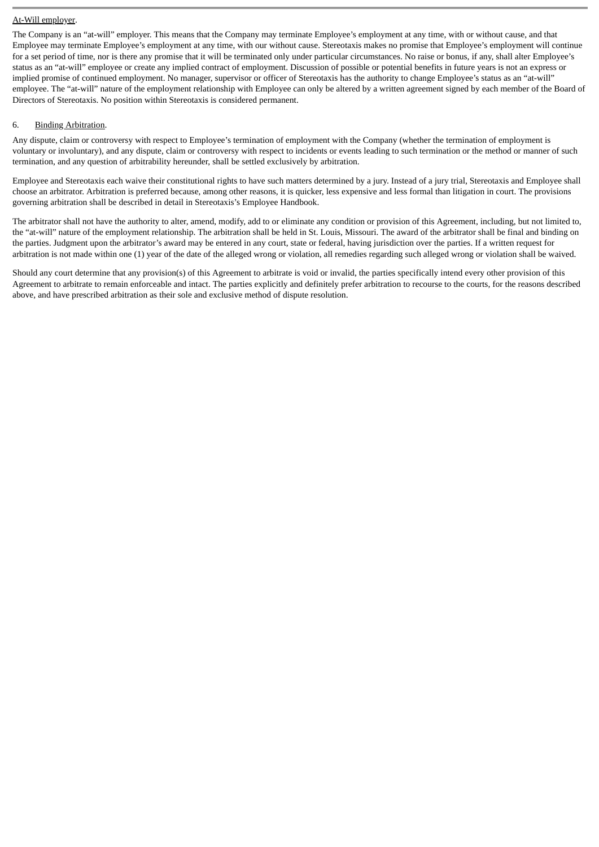# At-Will employer.

The Company is an "at-will" employer. This means that the Company may terminate Employee's employment at any time, with or without cause, and that Employee may terminate Employee's employment at any time, with our without cause. Stereotaxis makes no promise that Employee's employment will continue for a set period of time, nor is there any promise that it will be terminated only under particular circumstances. No raise or bonus, if any, shall alter Employee's status as an "at-will" employee or create any implied contract of employment. Discussion of possible or potential benefits in future years is not an express or implied promise of continued employment. No manager, supervisor or officer of Stereotaxis has the authority to change Employee's status as an "at-will" employee. The "at-will" nature of the employment relationship with Employee can only be altered by a written agreement signed by each member of the Board of Directors of Stereotaxis. No position within Stereotaxis is considered permanent.

# 6. Binding Arbitration.

Any dispute, claim or controversy with respect to Employee's termination of employment with the Company (whether the termination of employment is voluntary or involuntary), and any dispute, claim or controversy with respect to incidents or events leading to such termination or the method or manner of such termination, and any question of arbitrability hereunder, shall be settled exclusively by arbitration.

Employee and Stereotaxis each waive their constitutional rights to have such matters determined by a jury. Instead of a jury trial, Stereotaxis and Employee shall choose an arbitrator. Arbitration is preferred because, among other reasons, it is quicker, less expensive and less formal than litigation in court. The provisions governing arbitration shall be described in detail in Stereotaxis's Employee Handbook.

The arbitrator shall not have the authority to alter, amend, modify, add to or eliminate any condition or provision of this Agreement, including, but not limited to, the "at-will" nature of the employment relationship. The arbitration shall be held in St. Louis, Missouri. The award of the arbitrator shall be final and binding on the parties. Judgment upon the arbitrator's award may be entered in any court, state or federal, having jurisdiction over the parties. If a written request for arbitration is not made within one (1) year of the date of the alleged wrong or violation, all remedies regarding such alleged wrong or violation shall be waived.

Should any court determine that any provision(s) of this Agreement to arbitrate is void or invalid, the parties specifically intend every other provision of this Agreement to arbitrate to remain enforceable and intact. The parties explicitly and definitely prefer arbitration to recourse to the courts, for the reasons described above, and have prescribed arbitration as their sole and exclusive method of dispute resolution.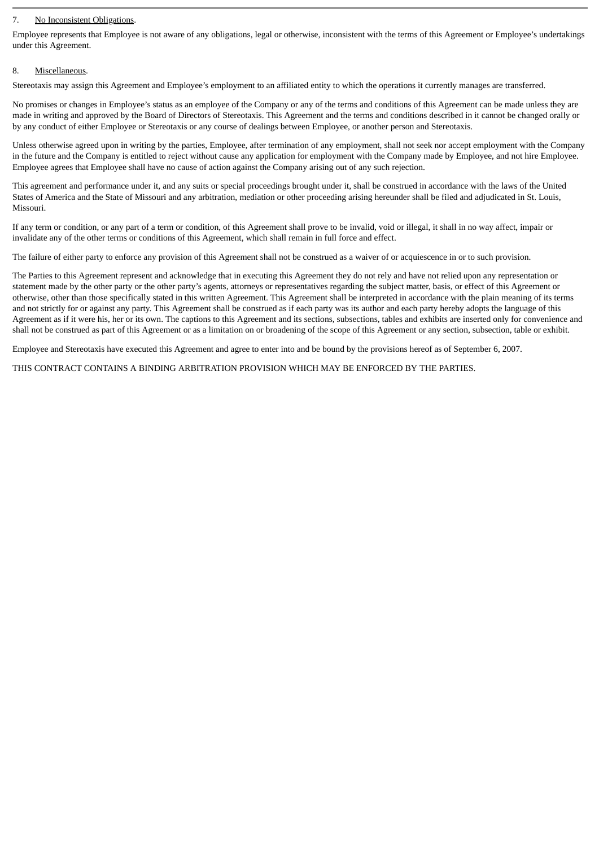# 7. No Inconsistent Obligations.

Employee represents that Employee is not aware of any obligations, legal or otherwise, inconsistent with the terms of this Agreement or Employee's undertakings under this Agreement.

#### 8. Miscellaneous.

Stereotaxis may assign this Agreement and Employee's employment to an affiliated entity to which the operations it currently manages are transferred.

No promises or changes in Employee's status as an employee of the Company or any of the terms and conditions of this Agreement can be made unless they are made in writing and approved by the Board of Directors of Stereotaxis. This Agreement and the terms and conditions described in it cannot be changed orally or by any conduct of either Employee or Stereotaxis or any course of dealings between Employee, or another person and Stereotaxis.

Unless otherwise agreed upon in writing by the parties, Employee, after termination of any employment, shall not seek nor accept employment with the Company in the future and the Company is entitled to reject without cause any application for employment with the Company made by Employee, and not hire Employee. Employee agrees that Employee shall have no cause of action against the Company arising out of any such rejection.

This agreement and performance under it, and any suits or special proceedings brought under it, shall be construed in accordance with the laws of the United States of America and the State of Missouri and any arbitration, mediation or other proceeding arising hereunder shall be filed and adjudicated in St. Louis, Missouri.

If any term or condition, or any part of a term or condition, of this Agreement shall prove to be invalid, void or illegal, it shall in no way affect, impair or invalidate any of the other terms or conditions of this Agreement, which shall remain in full force and effect.

The failure of either party to enforce any provision of this Agreement shall not be construed as a waiver of or acquiescence in or to such provision.

The Parties to this Agreement represent and acknowledge that in executing this Agreement they do not rely and have not relied upon any representation or statement made by the other party or the other party's agents, attorneys or representatives regarding the subject matter, basis, or effect of this Agreement or otherwise, other than those specifically stated in this written Agreement. This Agreement shall be interpreted in accordance with the plain meaning of its terms and not strictly for or against any party. This Agreement shall be construed as if each party was its author and each party hereby adopts the language of this Agreement as if it were his, her or its own. The captions to this Agreement and its sections, subsections, tables and exhibits are inserted only for convenience and shall not be construed as part of this Agreement or as a limitation on or broadening of the scope of this Agreement or any section, subsection, table or exhibit.

Employee and Stereotaxis have executed this Agreement and agree to enter into and be bound by the provisions hereof as of September 6, 2007.

THIS CONTRACT CONTAINS A BINDING ARBITRATION PROVISION WHICH MAY BE ENFORCED BY THE PARTIES.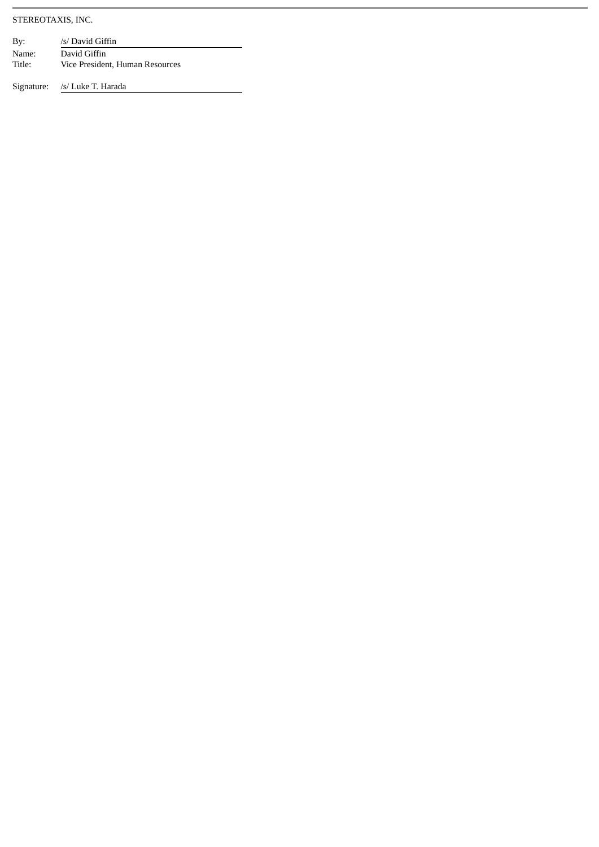# STEREOTAXIS, INC.

| By:    | /s/ David Giffin                |
|--------|---------------------------------|
| Name:  | David Giffin                    |
| Title: | Vice President, Human Resources |
|        |                                 |

Signature: /s/ Luke T. Harada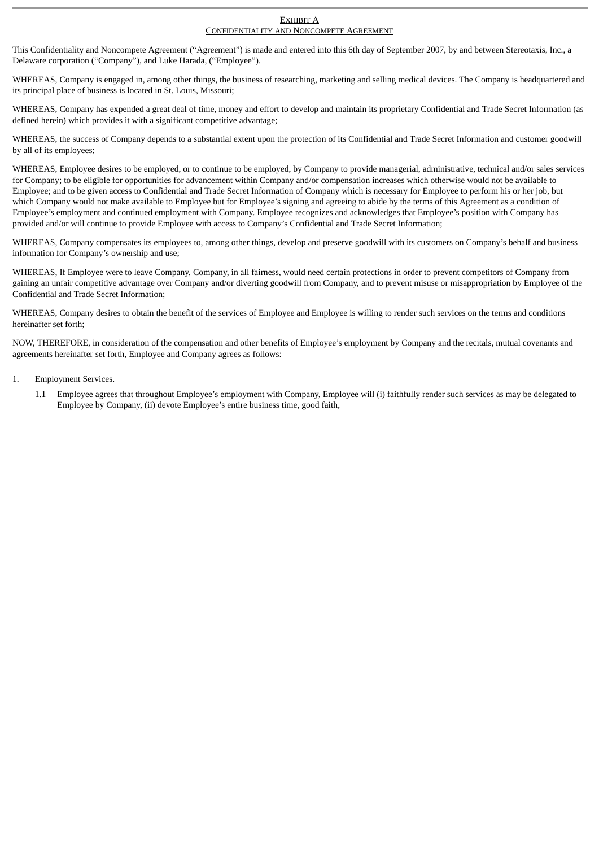#### EXHIBIT A CONFIDENTIALITY AND NONCOMPETE AGREEMENT

This Confidentiality and Noncompete Agreement ("Agreement") is made and entered into this 6th day of September 2007, by and between Stereotaxis, Inc., a Delaware corporation ("Company"), and Luke Harada, ("Employee").

WHEREAS, Company is engaged in, among other things, the business of researching, marketing and selling medical devices. The Company is headquartered and its principal place of business is located in St. Louis, Missouri;

WHEREAS, Company has expended a great deal of time, money and effort to develop and maintain its proprietary Confidential and Trade Secret Information (as defined herein) which provides it with a significant competitive advantage;

WHEREAS, the success of Company depends to a substantial extent upon the protection of its Confidential and Trade Secret Information and customer goodwill by all of its employees;

WHEREAS, Employee desires to be employed, or to continue to be employed, by Company to provide managerial, administrative, technical and/or sales services for Company; to be eligible for opportunities for advancement within Company and/or compensation increases which otherwise would not be available to Employee; and to be given access to Confidential and Trade Secret Information of Company which is necessary for Employee to perform his or her job, but which Company would not make available to Employee but for Employee's signing and agreeing to abide by the terms of this Agreement as a condition of Employee's employment and continued employment with Company. Employee recognizes and acknowledges that Employee's position with Company has provided and/or will continue to provide Employee with access to Company's Confidential and Trade Secret Information;

WHEREAS, Company compensates its employees to, among other things, develop and preserve goodwill with its customers on Company's behalf and business information for Company's ownership and use;

WHEREAS, If Employee were to leave Company, Company, in all fairness, would need certain protections in order to prevent competitors of Company from gaining an unfair competitive advantage over Company and/or diverting goodwill from Company, and to prevent misuse or misappropriation by Employee of the Confidential and Trade Secret Information;

WHEREAS, Company desires to obtain the benefit of the services of Employee and Employee is willing to render such services on the terms and conditions hereinafter set forth;

NOW, THEREFORE, in consideration of the compensation and other benefits of Employee's employment by Company and the recitals, mutual covenants and agreements hereinafter set forth, Employee and Company agrees as follows:

# 1. Employment Services.

1.1 Employee agrees that throughout Employee's employment with Company, Employee will (i) faithfully render such services as may be delegated to Employee by Company, (ii) devote Employee's entire business time, good faith,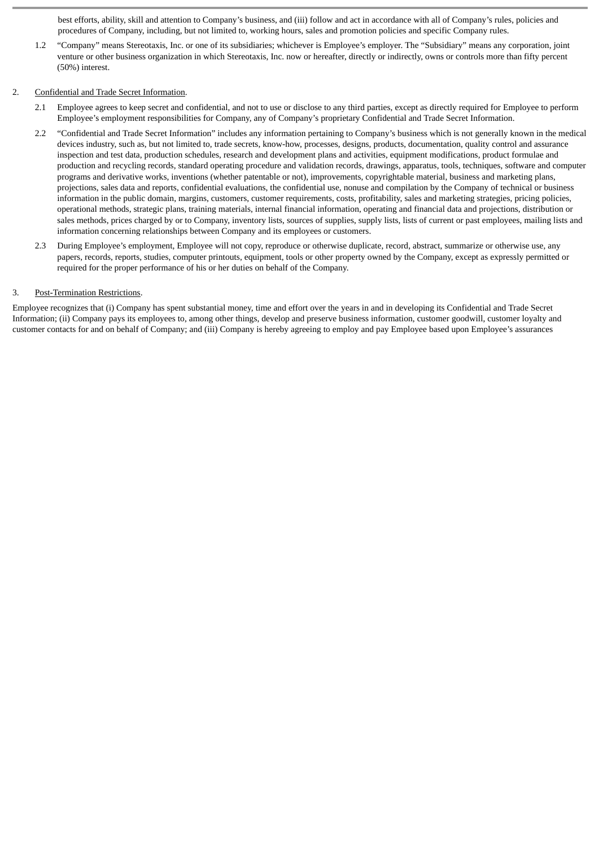best efforts, ability, skill and attention to Company's business, and (iii) follow and act in accordance with all of Company's rules, policies and procedures of Company, including, but not limited to, working hours, sales and promotion policies and specific Company rules.

- 1.2 "Company" means Stereotaxis, Inc. or one of its subsidiaries; whichever is Employee's employer. The "Subsidiary" means any corporation, joint venture or other business organization in which Stereotaxis, Inc. now or hereafter, directly or indirectly, owns or controls more than fifty percent (50%) interest.
- 2. Confidential and Trade Secret Information.
	- 2.1 Employee agrees to keep secret and confidential, and not to use or disclose to any third parties, except as directly required for Employee to perform Employee's employment responsibilities for Company, any of Company's proprietary Confidential and Trade Secret Information.
	- 2.2 "Confidential and Trade Secret Information" includes any information pertaining to Company's business which is not generally known in the medical devices industry, such as, but not limited to, trade secrets, know-how, processes, designs, products, documentation, quality control and assurance inspection and test data, production schedules, research and development plans and activities, equipment modifications, product formulae and production and recycling records, standard operating procedure and validation records, drawings, apparatus, tools, techniques, software and computer programs and derivative works, inventions (whether patentable or not), improvements, copyrightable material, business and marketing plans, projections, sales data and reports, confidential evaluations, the confidential use, nonuse and compilation by the Company of technical or business information in the public domain, margins, customers, customer requirements, costs, profitability, sales and marketing strategies, pricing policies, operational methods, strategic plans, training materials, internal financial information, operating and financial data and projections, distribution or sales methods, prices charged by or to Company, inventory lists, sources of supplies, supply lists, lists of current or past employees, mailing lists and information concerning relationships between Company and its employees or customers.
	- 2.3 During Employee's employment, Employee will not copy, reproduce or otherwise duplicate, record, abstract, summarize or otherwise use, any papers, records, reports, studies, computer printouts, equipment, tools or other property owned by the Company, except as expressly permitted or required for the proper performance of his or her duties on behalf of the Company.

# 3. Post-Termination Restrictions.

Employee recognizes that (i) Company has spent substantial money, time and effort over the years in and in developing its Confidential and Trade Secret Information; (ii) Company pays its employees to, among other things, develop and preserve business information, customer goodwill, customer loyalty and customer contacts for and on behalf of Company; and (iii) Company is hereby agreeing to employ and pay Employee based upon Employee's assurances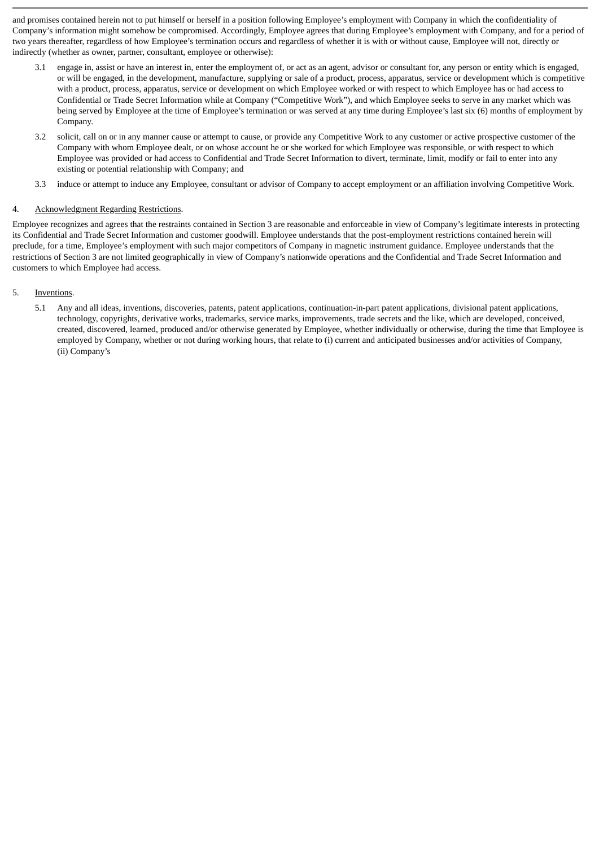and promises contained herein not to put himself or herself in a position following Employee's employment with Company in which the confidentiality of Company's information might somehow be compromised. Accordingly, Employee agrees that during Employee's employment with Company, and for a period of two years thereafter, regardless of how Employee's termination occurs and regardless of whether it is with or without cause, Employee will not, directly or indirectly (whether as owner, partner, consultant, employee or otherwise):

- 3.1 engage in, assist or have an interest in, enter the employment of, or act as an agent, advisor or consultant for, any person or entity which is engaged, or will be engaged, in the development, manufacture, supplying or sale of a product, process, apparatus, service or development which is competitive with a product, process, apparatus, service or development on which Employee worked or with respect to which Employee has or had access to Confidential or Trade Secret Information while at Company ("Competitive Work"), and which Employee seeks to serve in any market which was being served by Employee at the time of Employee's termination or was served at any time during Employee's last six (6) months of employment by Company.
- 3.2 solicit, call on or in any manner cause or attempt to cause, or provide any Competitive Work to any customer or active prospective customer of the Company with whom Employee dealt, or on whose account he or she worked for which Employee was responsible, or with respect to which Employee was provided or had access to Confidential and Trade Secret Information to divert, terminate, limit, modify or fail to enter into any existing or potential relationship with Company; and
- 3.3 induce or attempt to induce any Employee, consultant or advisor of Company to accept employment or an affiliation involving Competitive Work.

# 4. Acknowledgment Regarding Restrictions.

Employee recognizes and agrees that the restraints contained in Section 3 are reasonable and enforceable in view of Company's legitimate interests in protecting its Confidential and Trade Secret Information and customer goodwill. Employee understands that the post-employment restrictions contained herein will preclude, for a time, Employee's employment with such major competitors of Company in magnetic instrument guidance. Employee understands that the restrictions of Section 3 are not limited geographically in view of Company's nationwide operations and the Confidential and Trade Secret Information and customers to which Employee had access.

# 5. Inventions.

5.1 Any and all ideas, inventions, discoveries, patents, patent applications, continuation-in-part patent applications, divisional patent applications, technology, copyrights, derivative works, trademarks, service marks, improvements, trade secrets and the like, which are developed, conceived, created, discovered, learned, produced and/or otherwise generated by Employee, whether individually or otherwise, during the time that Employee is employed by Company, whether or not during working hours, that relate to (i) current and anticipated businesses and/or activities of Company, (ii) Company's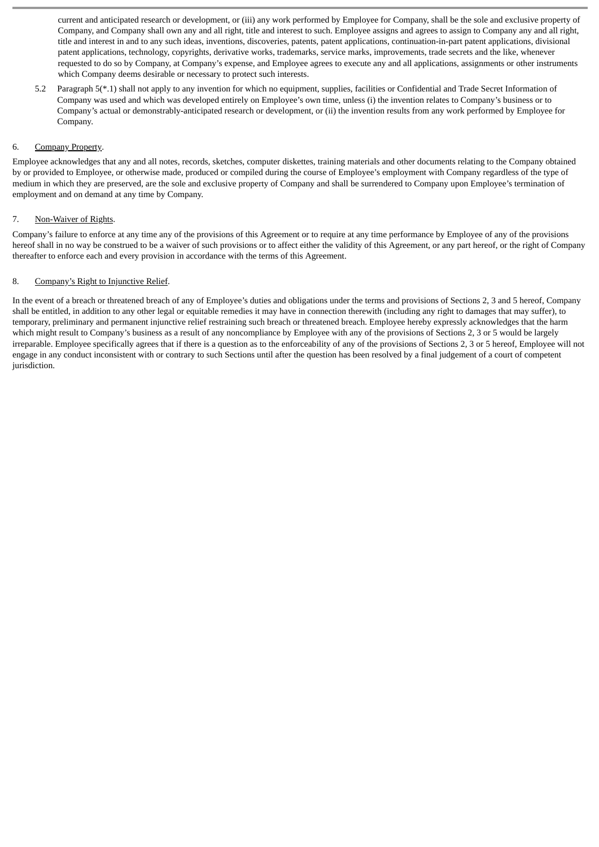current and anticipated research or development, or (iii) any work performed by Employee for Company, shall be the sole and exclusive property of Company, and Company shall own any and all right, title and interest to such. Employee assigns and agrees to assign to Company any and all right, title and interest in and to any such ideas, inventions, discoveries, patents, patent applications, continuation-in-part patent applications, divisional patent applications, technology, copyrights, derivative works, trademarks, service marks, improvements, trade secrets and the like, whenever requested to do so by Company, at Company's expense, and Employee agrees to execute any and all applications, assignments or other instruments which Company deems desirable or necessary to protect such interests.

5.2 Paragraph 5(\*.1) shall not apply to any invention for which no equipment, supplies, facilities or Confidential and Trade Secret Information of Company was used and which was developed entirely on Employee's own time, unless (i) the invention relates to Company's business or to Company's actual or demonstrably-anticipated research or development, or (ii) the invention results from any work performed by Employee for Company.

# 6. Company Property.

Employee acknowledges that any and all notes, records, sketches, computer diskettes, training materials and other documents relating to the Company obtained by or provided to Employee, or otherwise made, produced or compiled during the course of Employee's employment with Company regardless of the type of medium in which they are preserved, are the sole and exclusive property of Company and shall be surrendered to Company upon Employee's termination of employment and on demand at any time by Company.

# 7. Non-Waiver of Rights.

Company's failure to enforce at any time any of the provisions of this Agreement or to require at any time performance by Employee of any of the provisions hereof shall in no way be construed to be a waiver of such provisions or to affect either the validity of this Agreement, or any part hereof, or the right of Company thereafter to enforce each and every provision in accordance with the terms of this Agreement.

# 8. Company's Right to Injunctive Relief.

In the event of a breach or threatened breach of any of Employee's duties and obligations under the terms and provisions of Sections 2, 3 and 5 hereof, Company shall be entitled, in addition to any other legal or equitable remedies it may have in connection therewith (including any right to damages that may suffer), to temporary, preliminary and permanent injunctive relief restraining such breach or threatened breach. Employee hereby expressly acknowledges that the harm which might result to Company's business as a result of any noncompliance by Employee with any of the provisions of Sections 2, 3 or 5 would be largely irreparable. Employee specifically agrees that if there is a question as to the enforceability of any of the provisions of Sections 2, 3 or 5 hereof, Employee will not engage in any conduct inconsistent with or contrary to such Sections until after the question has been resolved by a final judgement of a court of competent jurisdiction.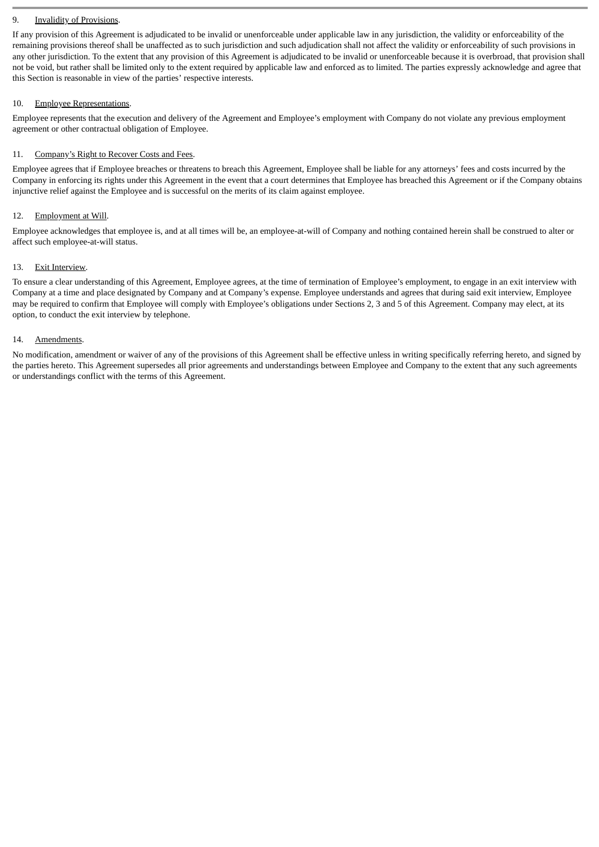# 9. Invalidity of Provisions.

If any provision of this Agreement is adjudicated to be invalid or unenforceable under applicable law in any jurisdiction, the validity or enforceability of the remaining provisions thereof shall be unaffected as to such jurisdiction and such adjudication shall not affect the validity or enforceability of such provisions in any other jurisdiction. To the extent that any provision of this Agreement is adjudicated to be invalid or unenforceable because it is overbroad, that provision shall not be void, but rather shall be limited only to the extent required by applicable law and enforced as to limited. The parties expressly acknowledge and agree that this Section is reasonable in view of the parties' respective interests.

# 10. Employee Representations.

Employee represents that the execution and delivery of the Agreement and Employee's employment with Company do not violate any previous employment agreement or other contractual obligation of Employee.

# 11. Company's Right to Recover Costs and Fees.

Employee agrees that if Employee breaches or threatens to breach this Agreement, Employee shall be liable for any attorneys' fees and costs incurred by the Company in enforcing its rights under this Agreement in the event that a court determines that Employee has breached this Agreement or if the Company obtains injunctive relief against the Employee and is successful on the merits of its claim against employee.

# 12. Employment at Will.

Employee acknowledges that employee is, and at all times will be, an employee-at-will of Company and nothing contained herein shall be construed to alter or affect such employee-at-will status.

# 13. Exit Interview.

To ensure a clear understanding of this Agreement, Employee agrees, at the time of termination of Employee's employment, to engage in an exit interview with Company at a time and place designated by Company and at Company's expense. Employee understands and agrees that during said exit interview, Employee may be required to confirm that Employee will comply with Employee's obligations under Sections 2, 3 and 5 of this Agreement. Company may elect, at its option, to conduct the exit interview by telephone.

# 14. Amendments.

No modification, amendment or waiver of any of the provisions of this Agreement shall be effective unless in writing specifically referring hereto, and signed by the parties hereto. This Agreement supersedes all prior agreements and understandings between Employee and Company to the extent that any such agreements or understandings conflict with the terms of this Agreement.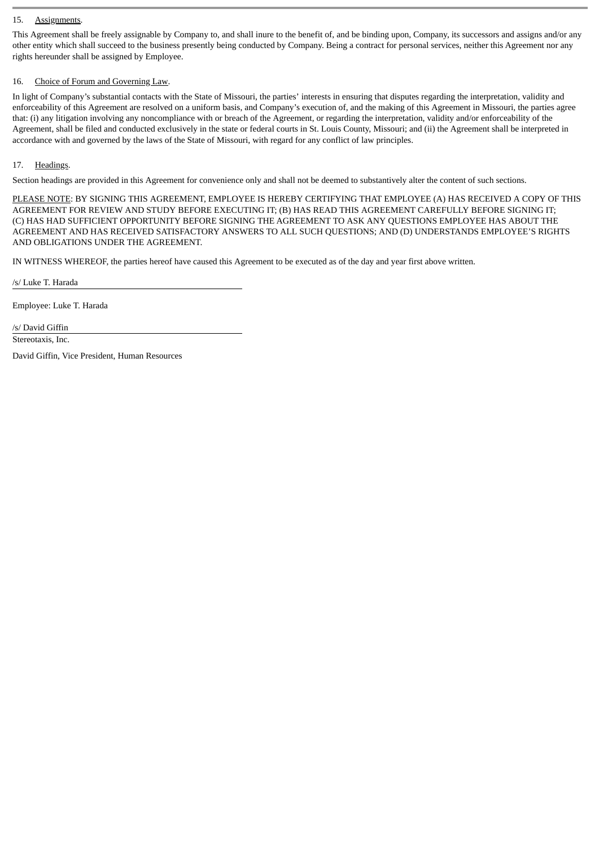# 15. Assignments.

This Agreement shall be freely assignable by Company to, and shall inure to the benefit of, and be binding upon, Company, its successors and assigns and/or any other entity which shall succeed to the business presently being conducted by Company. Being a contract for personal services, neither this Agreement nor any rights hereunder shall be assigned by Employee.

# 16. Choice of Forum and Governing Law.

In light of Company's substantial contacts with the State of Missouri, the parties' interests in ensuring that disputes regarding the interpretation, validity and enforceability of this Agreement are resolved on a uniform basis, and Company's execution of, and the making of this Agreement in Missouri, the parties agree that: (i) any litigation involving any noncompliance with or breach of the Agreement, or regarding the interpretation, validity and/or enforceability of the Agreement, shall be filed and conducted exclusively in the state or federal courts in St. Louis County, Missouri; and (ii) the Agreement shall be interpreted in accordance with and governed by the laws of the State of Missouri, with regard for any conflict of law principles.

# 17. Headings.

Section headings are provided in this Agreement for convenience only and shall not be deemed to substantively alter the content of such sections.

PLEASE NOTE: BY SIGNING THIS AGREEMENT, EMPLOYEE IS HEREBY CERTIFYING THAT EMPLOYEE (A) HAS RECEIVED A COPY OF THIS AGREEMENT FOR REVIEW AND STUDY BEFORE EXECUTING IT; (B) HAS READ THIS AGREEMENT CAREFULLY BEFORE SIGNING IT; (C) HAS HAD SUFFICIENT OPPORTUNITY BEFORE SIGNING THE AGREEMENT TO ASK ANY QUESTIONS EMPLOYEE HAS ABOUT THE AGREEMENT AND HAS RECEIVED SATISFACTORY ANSWERS TO ALL SUCH QUESTIONS; AND (D) UNDERSTANDS EMPLOYEE'S RIGHTS AND OBLIGATIONS UNDER THE AGREEMENT.

IN WITNESS WHEREOF, the parties hereof have caused this Agreement to be executed as of the day and year first above written.

/s/ Luke T. Harada

Employee: Luke T. Harada

/s/ David Giffin Stereotaxis, Inc.

David Giffin, Vice President, Human Resources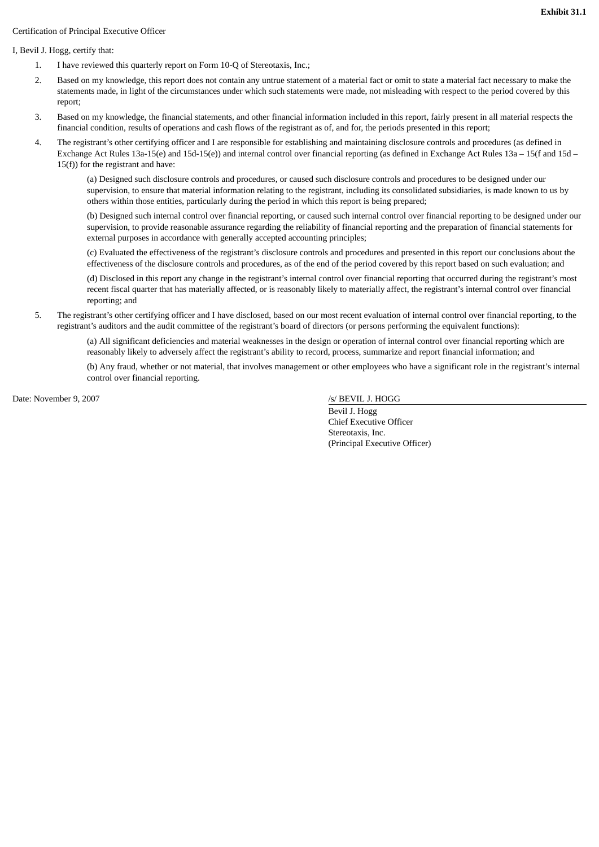# Certification of Principal Executive Officer

# I, Bevil J. Hogg, certify that:

- 1. I have reviewed this quarterly report on Form 10-Q of Stereotaxis, Inc.;
- 2. Based on my knowledge, this report does not contain any untrue statement of a material fact or omit to state a material fact necessary to make the statements made, in light of the circumstances under which such statements were made, not misleading with respect to the period covered by this report;
- 3. Based on my knowledge, the financial statements, and other financial information included in this report, fairly present in all material respects the financial condition, results of operations and cash flows of the registrant as of, and for, the periods presented in this report;
- 4. The registrant's other certifying officer and I are responsible for establishing and maintaining disclosure controls and procedures (as defined in Exchange Act Rules 13a-15(e) and 15d-15(e)) and internal control over financial reporting (as defined in Exchange Act Rules 13a – 15(f and 15d – 15(f)) for the registrant and have:

(a) Designed such disclosure controls and procedures, or caused such disclosure controls and procedures to be designed under our supervision, to ensure that material information relating to the registrant, including its consolidated subsidiaries, is made known to us by others within those entities, particularly during the period in which this report is being prepared;

(b) Designed such internal control over financial reporting, or caused such internal control over financial reporting to be designed under our supervision, to provide reasonable assurance regarding the reliability of financial reporting and the preparation of financial statements for external purposes in accordance with generally accepted accounting principles;

(c) Evaluated the effectiveness of the registrant's disclosure controls and procedures and presented in this report our conclusions about the effectiveness of the disclosure controls and procedures, as of the end of the period covered by this report based on such evaluation; and

(d) Disclosed in this report any change in the registrant's internal control over financial reporting that occurred during the registrant's most recent fiscal quarter that has materially affected, or is reasonably likely to materially affect, the registrant's internal control over financial reporting; and

5. The registrant's other certifying officer and I have disclosed, based on our most recent evaluation of internal control over financial reporting, to the registrant's auditors and the audit committee of the registrant's board of directors (or persons performing the equivalent functions):

(a) All significant deficiencies and material weaknesses in the design or operation of internal control over financial reporting which are reasonably likely to adversely affect the registrant's ability to record, process, summarize and report financial information; and

(b) Any fraud, whether or not material, that involves management or other employees who have a significant role in the registrant's internal control over financial reporting.

Date: November 9, 2007 /s/ BEVIL J. HOGG

Bevil J. Hogg Chief Executive Officer Stereotaxis, Inc. (Principal Executive Officer)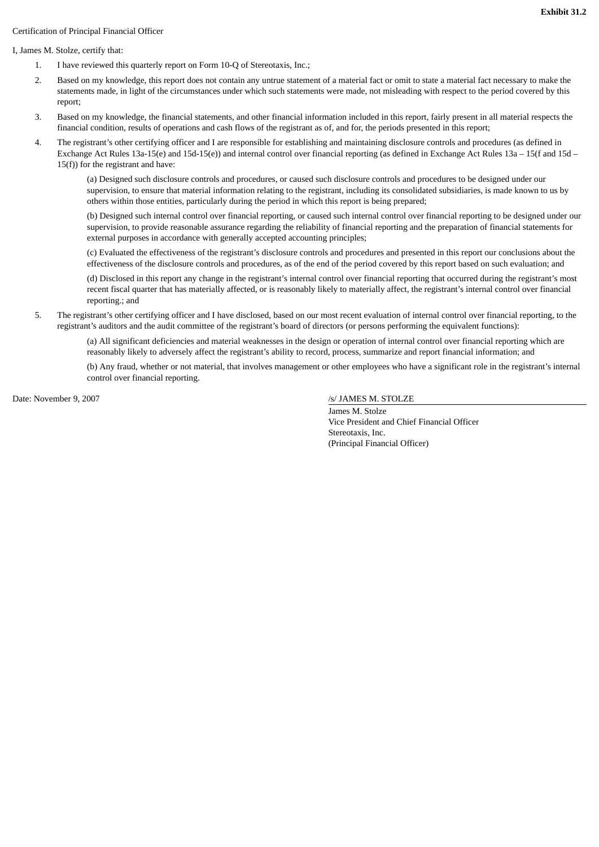# Certification of Principal Financial Officer

# I, James M. Stolze, certify that:

- 1. I have reviewed this quarterly report on Form 10-Q of Stereotaxis, Inc.;
- 2. Based on my knowledge, this report does not contain any untrue statement of a material fact or omit to state a material fact necessary to make the statements made, in light of the circumstances under which such statements were made, not misleading with respect to the period covered by this report;
- 3. Based on my knowledge, the financial statements, and other financial information included in this report, fairly present in all material respects the financial condition, results of operations and cash flows of the registrant as of, and for, the periods presented in this report;
- 4. The registrant's other certifying officer and I are responsible for establishing and maintaining disclosure controls and procedures (as defined in Exchange Act Rules 13a-15(e) and 15d-15(e)) and internal control over financial reporting (as defined in Exchange Act Rules 13a – 15(f and 15d – 15(f)) for the registrant and have:

(a) Designed such disclosure controls and procedures, or caused such disclosure controls and procedures to be designed under our supervision, to ensure that material information relating to the registrant, including its consolidated subsidiaries, is made known to us by others within those entities, particularly during the period in which this report is being prepared;

(b) Designed such internal control over financial reporting, or caused such internal control over financial reporting to be designed under our supervision, to provide reasonable assurance regarding the reliability of financial reporting and the preparation of financial statements for external purposes in accordance with generally accepted accounting principles;

(c) Evaluated the effectiveness of the registrant's disclosure controls and procedures and presented in this report our conclusions about the effectiveness of the disclosure controls and procedures, as of the end of the period covered by this report based on such evaluation; and

(d) Disclosed in this report any change in the registrant's internal control over financial reporting that occurred during the registrant's most recent fiscal quarter that has materially affected, or is reasonably likely to materially affect, the registrant's internal control over financial reporting.; and

5. The registrant's other certifying officer and I have disclosed, based on our most recent evaluation of internal control over financial reporting, to the registrant's auditors and the audit committee of the registrant's board of directors (or persons performing the equivalent functions):

(a) All significant deficiencies and material weaknesses in the design or operation of internal control over financial reporting which are reasonably likely to adversely affect the registrant's ability to record, process, summarize and report financial information; and

(b) Any fraud, whether or not material, that involves management or other employees who have a significant role in the registrant's internal control over financial reporting.

Date: November 9, 2007 /s/ JAMES M. STOLZE

James M. Stolze Vice President and Chief Financial Officer Stereotaxis, Inc. (Principal Financial Officer)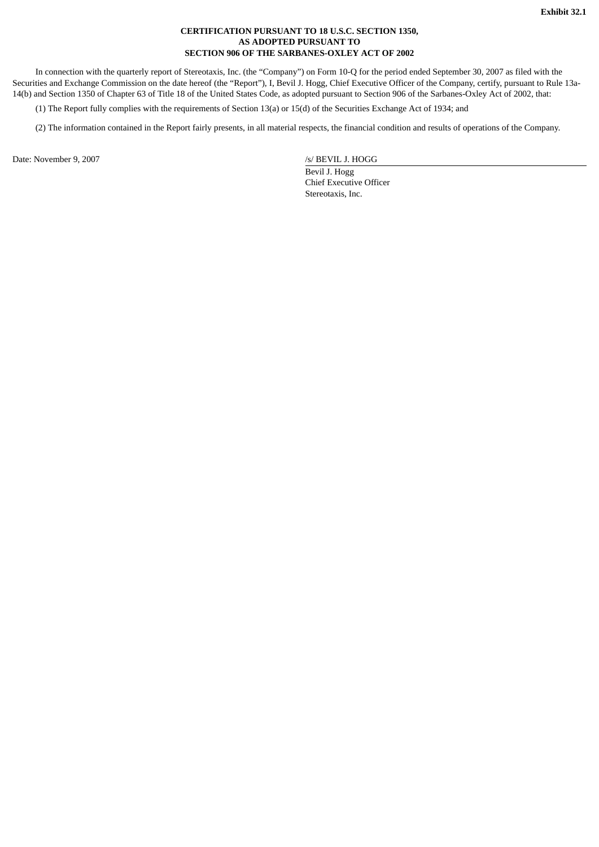# **CERTIFICATION PURSUANT TO 18 U.S.C. SECTION 1350, AS ADOPTED PURSUANT TO SECTION 906 OF THE SARBANES-OXLEY ACT OF 2002**

In connection with the quarterly report of Stereotaxis, Inc. (the "Company") on Form 10-Q for the period ended September 30, 2007 as filed with the Securities and Exchange Commission on the date hereof (the "Report"), I, Bevil J. Hogg, Chief Executive Officer of the Company, certify, pursuant to Rule 13a-14(b) and Section 1350 of Chapter 63 of Title 18 of the United States Code, as adopted pursuant to Section 906 of the Sarbanes-Oxley Act of 2002, that:

(1) The Report fully complies with the requirements of Section 13(a) or 15(d) of the Securities Exchange Act of 1934; and

(2) The information contained in the Report fairly presents, in all material respects, the financial condition and results of operations of the Company.

Date: November 9, 2007 /s/ BEVIL J. HOGG

Bevil J. Hogg Chief Executive Officer Stereotaxis, Inc.